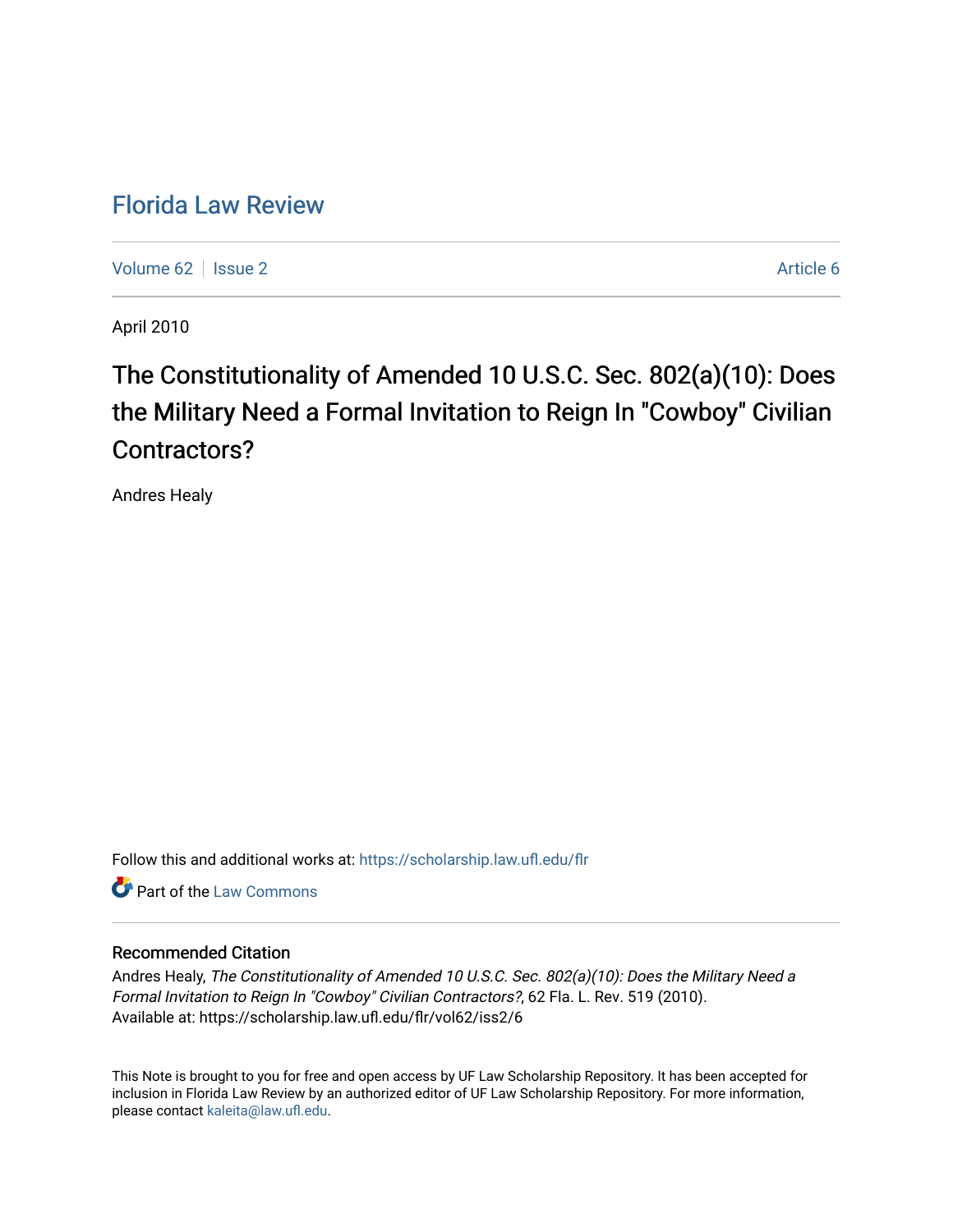## [Florida Law Review](https://scholarship.law.ufl.edu/flr)

[Volume 62](https://scholarship.law.ufl.edu/flr/vol62) | [Issue 2](https://scholarship.law.ufl.edu/flr/vol62/iss2) Article 6

April 2010

# The Constitutionality of Amended 10 U.S.C. Sec. 802(a)(10): Does the Military Need a Formal Invitation to Reign In "Cowboy" Civilian Contractors?

Andres Healy

Follow this and additional works at: [https://scholarship.law.ufl.edu/flr](https://scholarship.law.ufl.edu/flr?utm_source=scholarship.law.ufl.edu%2Fflr%2Fvol62%2Fiss2%2F6&utm_medium=PDF&utm_campaign=PDFCoverPages)

**C** Part of the [Law Commons](http://network.bepress.com/hgg/discipline/578?utm_source=scholarship.law.ufl.edu%2Fflr%2Fvol62%2Fiss2%2F6&utm_medium=PDF&utm_campaign=PDFCoverPages)

### Recommended Citation

Andres Healy, The Constitutionality of Amended 10 U.S.C. Sec. 802(a)(10): Does the Military Need a Formal Invitation to Reign In "Cowboy" Civilian Contractors?, 62 Fla. L. Rev. 519 (2010). Available at: https://scholarship.law.ufl.edu/flr/vol62/iss2/6

This Note is brought to you for free and open access by UF Law Scholarship Repository. It has been accepted for inclusion in Florida Law Review by an authorized editor of UF Law Scholarship Repository. For more information, please contact [kaleita@law.ufl.edu](mailto:kaleita@law.ufl.edu).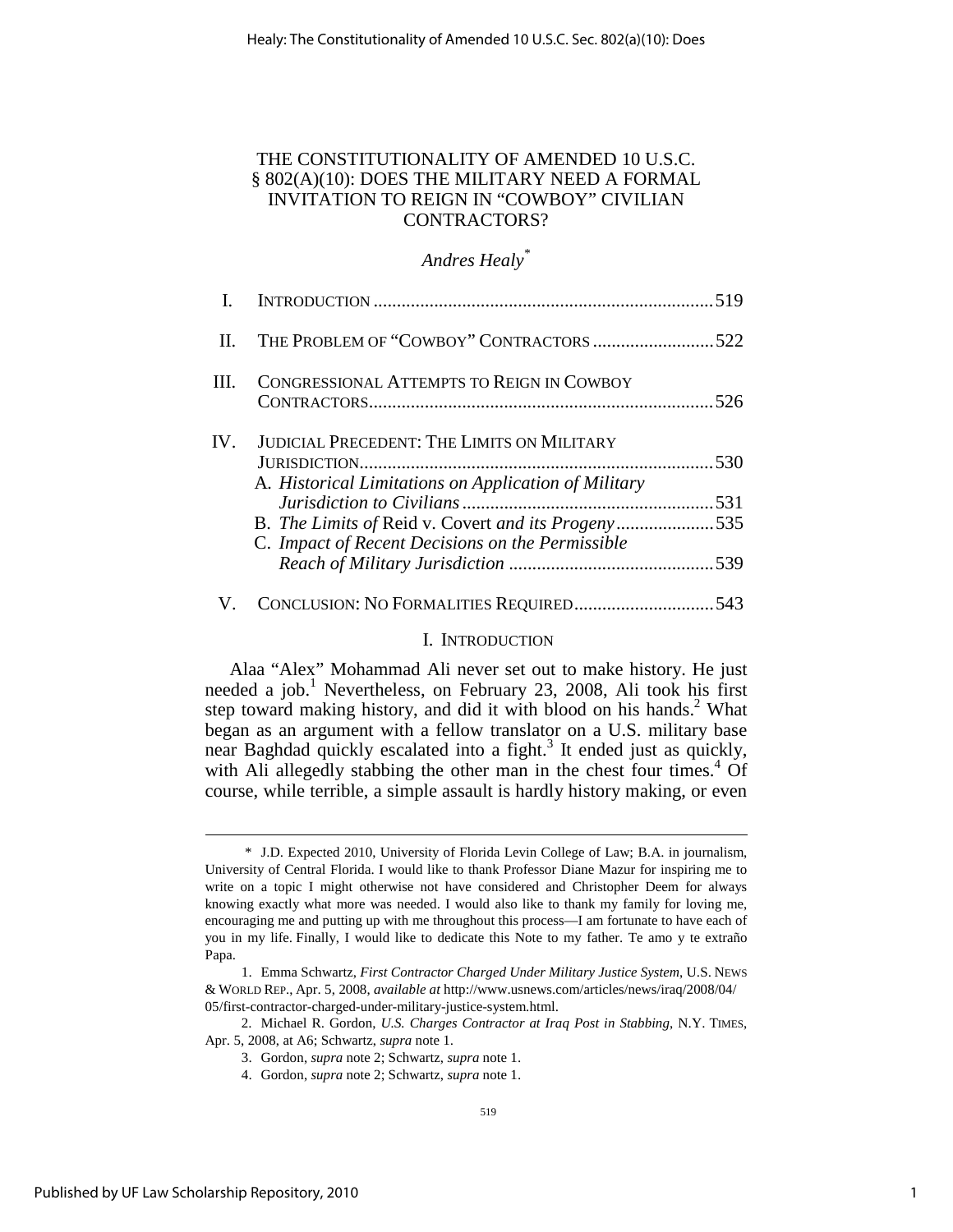### THE CONSTITUTIONALITY OF AMENDED 10 U.S.C. § 802(A)(10): DOES THE MILITARY NEED A FORMAL INVITATION TO REIGN IN "COWBOY" CIVILIAN CONTRACTORS?

### *Andres Healy\**

| II.  | THE PROBLEM OF "COWBOY" CONTRACTORS522                                                                    |  |
|------|-----------------------------------------------------------------------------------------------------------|--|
| III. | <b>CONGRESSIONAL ATTEMPTS TO REIGN IN COWBOY</b>                                                          |  |
| IV.  | <b>JUDICIAL PRECEDENT: THE LIMITS ON MILITARY</b><br>A. Historical Limitations on Application of Military |  |
|      |                                                                                                           |  |
|      | B. The Limits of Reid v. Covert and its Progeny535<br>C. Impact of Recent Decisions on the Permissible    |  |
|      |                                                                                                           |  |
|      |                                                                                                           |  |

### I. INTRODUCTION

Alaa "Alex" Mohammad Ali never set out to make history. He just needed a job.<sup>1</sup> Nevertheless, on February 23, 2008, Ali took his first step toward making history, and did it with blood on his hands.<sup>2</sup> What began as an argument with a fellow translator on a U.S. military base near Baghdad quickly escalated into a fight.<sup>3</sup> It ended just as quickly, with Ali allegedly stabbing the other man in the chest four times.<sup>4</sup> Of course, while terrible, a simple assault is hardly history making, or even

 <sup>\*</sup> J.D. Expected 2010, University of Florida Levin College of Law; B.A. in journalism, University of Central Florida. I would like to thank Professor Diane Mazur for inspiring me to write on a topic I might otherwise not have considered and Christopher Deem for always knowing exactly what more was needed. I would also like to thank my family for loving me, encouraging me and putting up with me throughout this process—I am fortunate to have each of you in my life. Finally, I would like to dedicate this Note to my father. Te amo y te extraño Papa.

 <sup>1.</sup> Emma Schwartz, *First Contractor Charged Under Military Justice System*, U.S. NEWS & WORLD REP., Apr. 5, 2008, *available at* http://www.usnews.com/articles/news/iraq/2008/04/ 05/first-contractor-charged-under-military-justice-system.html.

 <sup>2.</sup> Michael R. Gordon, *U.S. Charges Contractor at Iraq Post in Stabbing*, N.Y. TIMES, Apr. 5, 2008, at A6; Schwartz, *supra* note 1.

 <sup>3.</sup> Gordon, *supra* note 2; Schwartz, *supra* note 1.

 <sup>4.</sup> Gordon, *supra* note 2; Schwartz, *supra* note 1.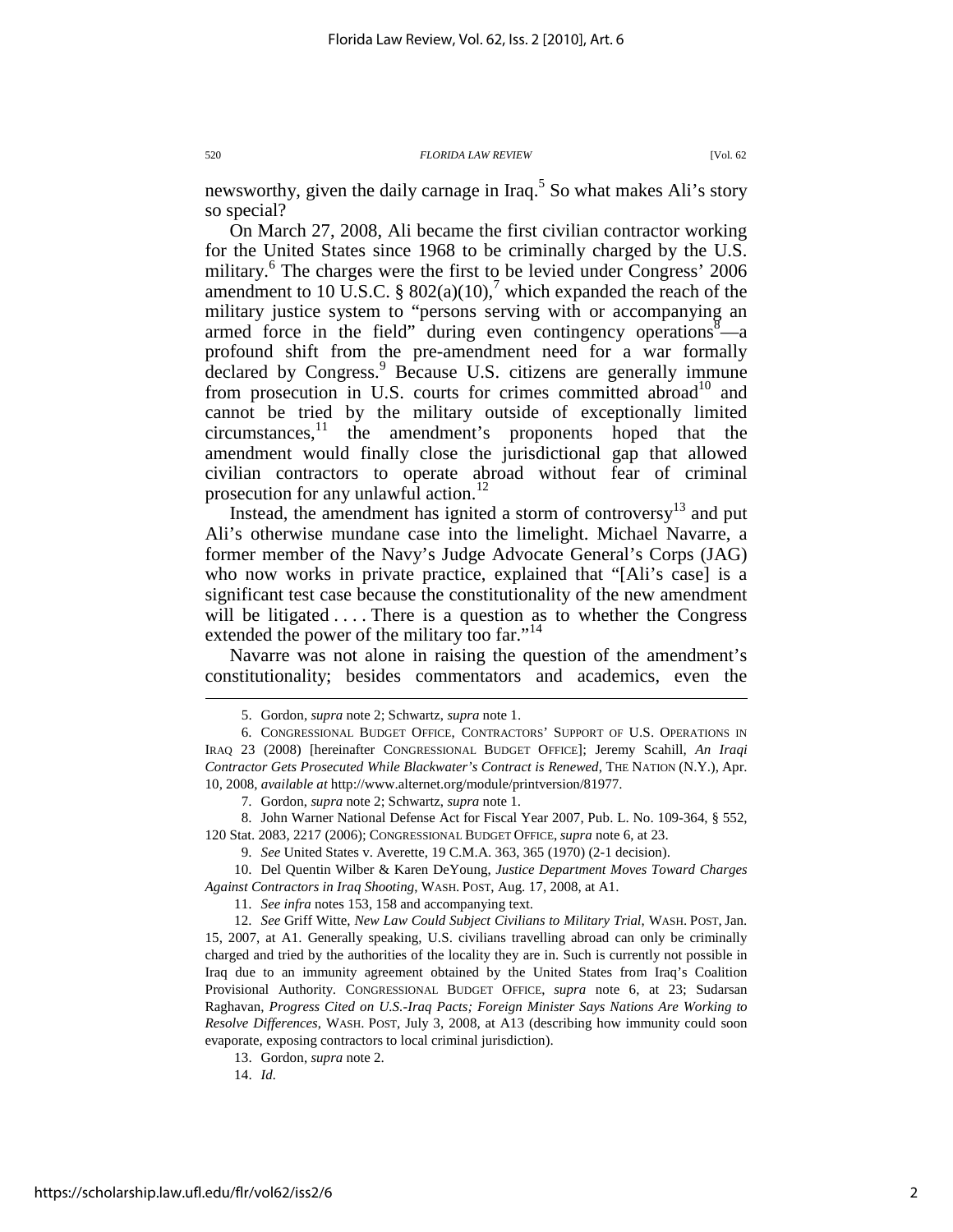newsworthy, given the daily carnage in Iraq.<sup>5</sup> So what makes Ali's story so special?

On March 27, 2008, Ali became the first civilian contractor working for the United States since 1968 to be criminally charged by the U.S. military.<sup>6</sup> The charges were the first to be levied under Congress' 2006 amendment to 10 U.S.C. § 802(a)(10),<sup>7</sup> which expanded the reach of the military justice system to "persons serving with or accompanying an armed force in the field" during even contingency operations $8\text{--}a$ profound shift from the pre-amendment need for a war formally declared by Congress.<sup>9</sup> Because U.S. citizens are generally immune from prosecution in U.S. courts for crimes committed abroad<sup>10</sup> and cannot be tried by the military outside of exceptionally limited  $circ$ circumstances, $\frac{11}{1}$  the amendment's proponents hoped that the amendment would finally close the jurisdictional gap that allowed civilian contractors to operate abroad without fear of criminal prosecution for any unlawful action.<sup>12</sup>

Instead, the amendment has ignited a storm of controversy $13$  and put Ali's otherwise mundane case into the limelight. Michael Navarre, a former member of the Navy's Judge Advocate General's Corps (JAG) who now works in private practice, explained that "[Ali's case] is a significant test case because the constitutionality of the new amendment will be litigated  $\dots$ . There is a question as to whether the Congress extended the power of the military too far."<sup>14</sup>

Navarre was not alone in raising the question of the amendment's constitutionality; besides commentators and academics, even the

 10. Del Quentin Wilber & Karen DeYoung, *Justice Department Moves Toward Charges Against Contractors in Iraq Shooting*, WASH. POST, Aug. 17, 2008, at A1.

11. *See infra* notes 153, 158 and accompanying text.

 12. *See* Griff Witte, *New Law Could Subject Civilians to Military Trial*, WASH. POST, Jan. 15, 2007, at A1. Generally speaking, U.S. civilians travelling abroad can only be criminally charged and tried by the authorities of the locality they are in. Such is currently not possible in Iraq due to an immunity agreement obtained by the United States from Iraq's Coalition Provisional Authority. CONGRESSIONAL BUDGET OFFICE, *supra* note 6, at 23; Sudarsan Raghavan, *Progress Cited on U.S.-Iraq Pacts; Foreign Minister Says Nations Are Working to Resolve Differences*, WASH. POST, July 3, 2008, at A13 (describing how immunity could soon evaporate, exposing contractors to local criminal jurisdiction).

13. Gordon, *supra* note 2.

14. *Id.*

 <sup>5.</sup> Gordon, *supra* note 2; Schwartz, *supra* note 1.

 <sup>6.</sup> CONGRESSIONAL BUDGET OFFICE, CONTRACTORS' SUPPORT OF U.S. OPERATIONS IN IRAQ 23 (2008) [hereinafter CONGRESSIONAL BUDGET OFFICE]; Jeremy Scahill, *An Iraqi Contractor Gets Prosecuted While Blackwater's Contract is Renewed*, THE NATION (N.Y.), Apr. 10, 2008, *available at* http://www.alternet.org/module/printversion/81977.

 <sup>7.</sup> Gordon, *supra* note 2; Schwartz, *supra* note 1.

 <sup>8.</sup> John Warner National Defense Act for Fiscal Year 2007, Pub. L. No. 109-364, § 552, 120 Stat. 2083, 2217 (2006); CONGRESSIONAL BUDGET OFFICE, *supra* note 6, at 23.

 <sup>9.</sup> *See* United States v. Averette, 19 C.M.A. 363, 365 (1970) (2-1 decision).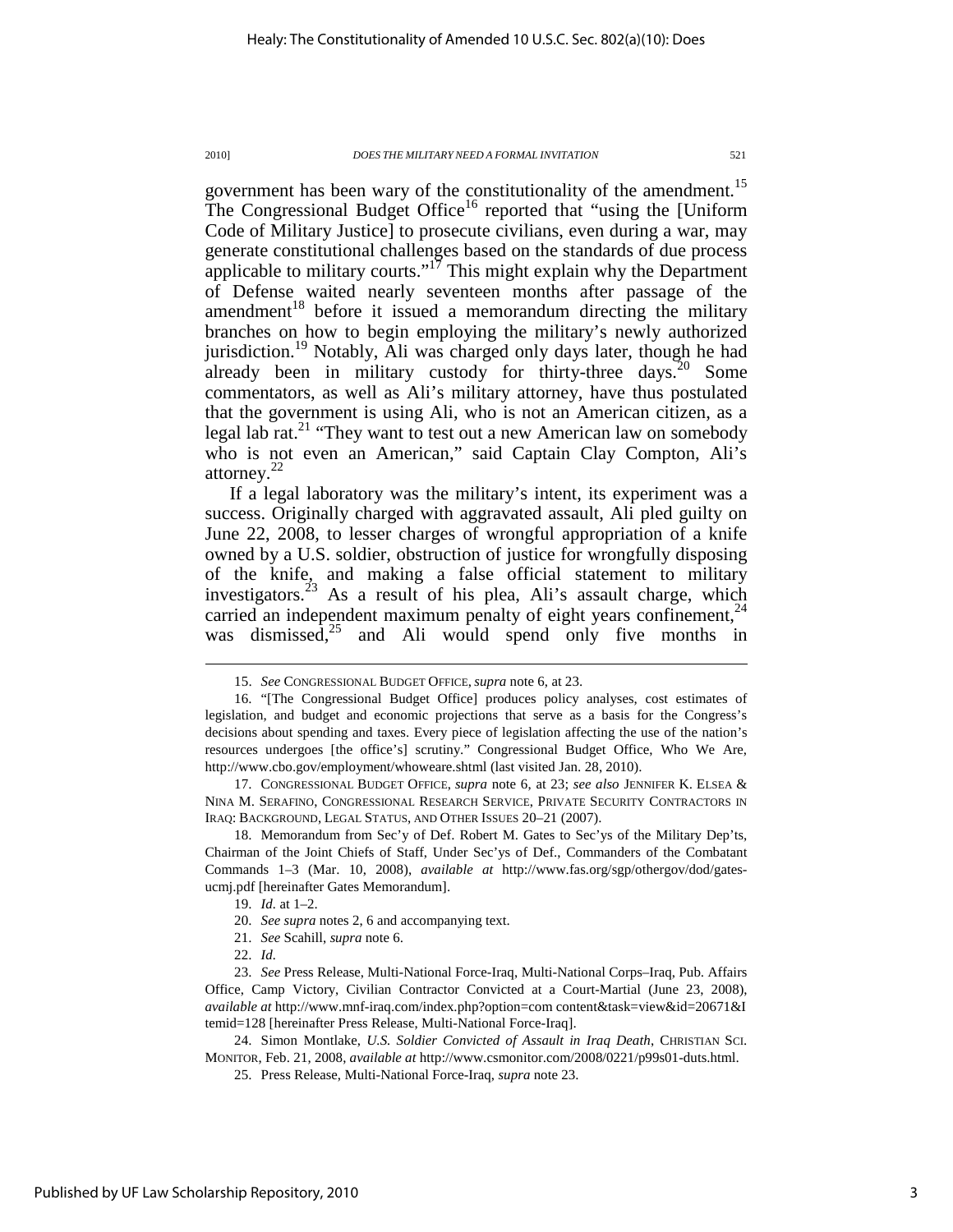government has been wary of the constitutionality of the amendment.<sup>15</sup> The Congressional Budget Office<sup>16</sup> reported that "using the [Uniform Code of Military Justice] to prosecute civilians, even during a war, may generate constitutional challenges based on the standards of due process applicable to military courts."<sup>17</sup> This might explain why the Department of Defense waited nearly seventeen months after passage of the amendment $18$  before it issued a memorandum directing the military branches on how to begin employing the military's newly authorized jurisdiction.<sup>19</sup> Notably, Ali was charged only days later, though he had already been in military custody for thirty-three days.<sup>20</sup> Some commentators, as well as Ali's military attorney, have thus postulated that the government is using Ali, who is not an American citizen, as a legal lab rat.<sup>21</sup> "They want to test out a new American law on somebody who is not even an American," said Captain Clay Compton, Ali's attorney. $22$ 

If a legal laboratory was the military's intent, its experiment was a success. Originally charged with aggravated assault, Ali pled guilty on June 22, 2008, to lesser charges of wrongful appropriation of a knife owned by a U.S. soldier, obstruction of justice for wrongfully disposing of the knife, and making a false official statement to military investigators.<sup>23</sup> As a result of his plea, Ali's assault charge, which carried an independent maximum penalty of eight years confinement,  $24$ was dismissed, $25$  and Ali would spend only five months in

 17. CONGRESSIONAL BUDGET OFFICE, *supra* note 6, at 23; *see also* JENNIFER K. ELSEA & NINA M. SERAFINO, CONGRESSIONAL RESEARCH SERVICE, PRIVATE SECURITY CONTRACTORS IN IRAQ: BACKGROUND, LEGAL STATUS, AND OTHER ISSUES 20–21 (2007).

 18. Memorandum from Sec'y of Def. Robert M. Gates to Sec'ys of the Military Dep'ts, Chairman of the Joint Chiefs of Staff, Under Sec'ys of Def., Commanders of the Combatant Commands 1–3 (Mar. 10, 2008), *available at* http://www.fas.org/sgp/othergov/dod/gatesucmj.pdf [hereinafter Gates Memorandum].

l

 24. Simon Montlake, *U.S. Soldier Convicted of Assault in Iraq Death*, CHRISTIAN SCI. MONITOR, Feb. 21, 2008, *available at* http://www.csmonitor.com/2008/0221/p99s01-duts.html.

 <sup>15.</sup> *See* CONGRESSIONAL BUDGET OFFICE, *supra* note 6, at 23.

 <sup>16. &</sup>quot;[The Congressional Budget Office] produces policy analyses, cost estimates of legislation, and budget and economic projections that serve as a basis for the Congress's decisions about spending and taxes. Every piece of legislation affecting the use of the nation's resources undergoes [the office's] scrutiny." Congressional Budget Office, Who We Are, http://www.cbo.gov/employment/whoweare.shtml (last visited Jan. 28, 2010).

 <sup>19.</sup> *Id.* at 1–2.

 <sup>20.</sup> *See supra* notes 2, 6 and accompanying text.

 <sup>21.</sup> *See* Scahill, *supra* note 6.

 <sup>22.</sup> *Id.*

 <sup>23.</sup> *See* Press Release, Multi-National Force-Iraq, Multi-National Corps–Iraq, Pub. Affairs Office, Camp Victory, Civilian Contractor Convicted at a Court-Martial (June 23, 2008), *available at* http://www.mnf-iraq.com/index.php?option=com content&task=view&id=20671&I temid=128 [hereinafter Press Release, Multi-National Force-Iraq].

 <sup>25.</sup> Press Release, Multi-National Force-Iraq, *supra* note 23.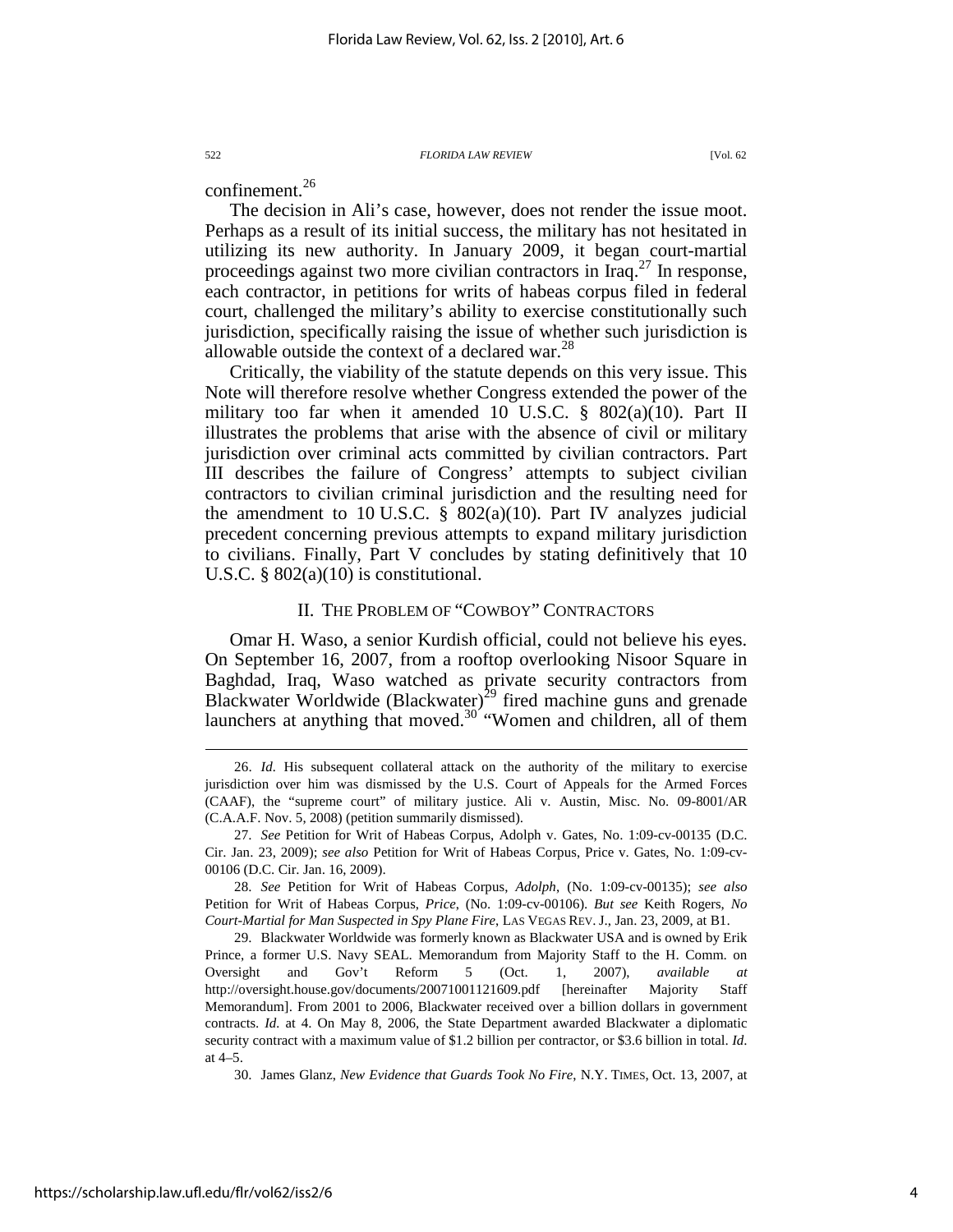confinement. $^{26}$ 

The decision in Ali's case, however, does not render the issue moot. Perhaps as a result of its initial success, the military has not hesitated in utilizing its new authority. In January 2009, it began court-martial proceedings against two more civilian contractors in Iraq.<sup>27</sup> In response, each contractor, in petitions for writs of habeas corpus filed in federal court, challenged the military's ability to exercise constitutionally such jurisdiction, specifically raising the issue of whether such jurisdiction is allowable outside the context of a declared war.<sup>28</sup>

Critically, the viability of the statute depends on this very issue. This Note will therefore resolve whether Congress extended the power of the military too far when it amended 10 U.S.C.  $\S$  802(a)(10). Part II illustrates the problems that arise with the absence of civil or military jurisdiction over criminal acts committed by civilian contractors. Part III describes the failure of Congress' attempts to subject civilian contractors to civilian criminal jurisdiction and the resulting need for the amendment to 10 U.S.C.  $\S$  802(a)(10). Part IV analyzes judicial precedent concerning previous attempts to expand military jurisdiction to civilians. Finally, Part V concludes by stating definitively that 10 U.S.C.  $\S 802(a)(10)$  is constitutional.

### II. THE PROBLEM OF "COWBOY" CONTRACTORS

Omar H. Waso, a senior Kurdish official, could not believe his eyes. On September 16, 2007, from a rooftop overlooking Nisoor Square in Baghdad, Iraq, Waso watched as private security contractors from Blackwater Worldwide (Blackwater)<sup>29</sup> fired machine guns and grenade launchers at anything that moved.<sup>30</sup> "Women and children, all of them

 <sup>26.</sup> *Id.* His subsequent collateral attack on the authority of the military to exercise jurisdiction over him was dismissed by the U.S. Court of Appeals for the Armed Forces (CAAF), the "supreme court" of military justice. Ali v. Austin, Misc. No. 09-8001/AR (C.A.A.F. Nov. 5, 2008) (petition summarily dismissed).

 <sup>27.</sup> *See* Petition for Writ of Habeas Corpus, Adolph v. Gates, No. 1:09-cv-00135 (D.C. Cir. Jan. 23, 2009); *see also* Petition for Writ of Habeas Corpus, Price v. Gates, No. 1:09-cv-00106 (D.C. Cir. Jan. 16, 2009).

 <sup>28.</sup> *See* Petition for Writ of Habeas Corpus, *Adolph*, (No. 1:09-cv-00135); *see also* Petition for Writ of Habeas Corpus, *Price*, (No. 1:09-cv-00106). *But see* Keith Rogers, *No Court-Martial for Man Suspected in Spy Plane Fire*, LAS VEGAS REV. J., Jan. 23, 2009, at B1.

 <sup>29.</sup> Blackwater Worldwide was formerly known as Blackwater USA and is owned by Erik Prince, a former U.S. Navy SEAL. Memorandum from Majority Staff to the H. Comm. on Oversight and Gov't Reform 5 (Oct. 1, 2007), *available at* http://oversight.house.gov/documents/20071001121609.pdf [hereinafter Majority Staff Memorandum]. From 2001 to 2006, Blackwater received over a billion dollars in government contracts. *Id.* at 4. On May 8, 2006, the State Department awarded Blackwater a diplomatic security contract with a maximum value of \$1.2 billion per contractor, or \$3.6 billion in total. *Id*. at 4–5.

 <sup>30.</sup> James Glanz, *New Evidence that Guards Took No Fire*, N.Y. TIMES, Oct. 13, 2007, at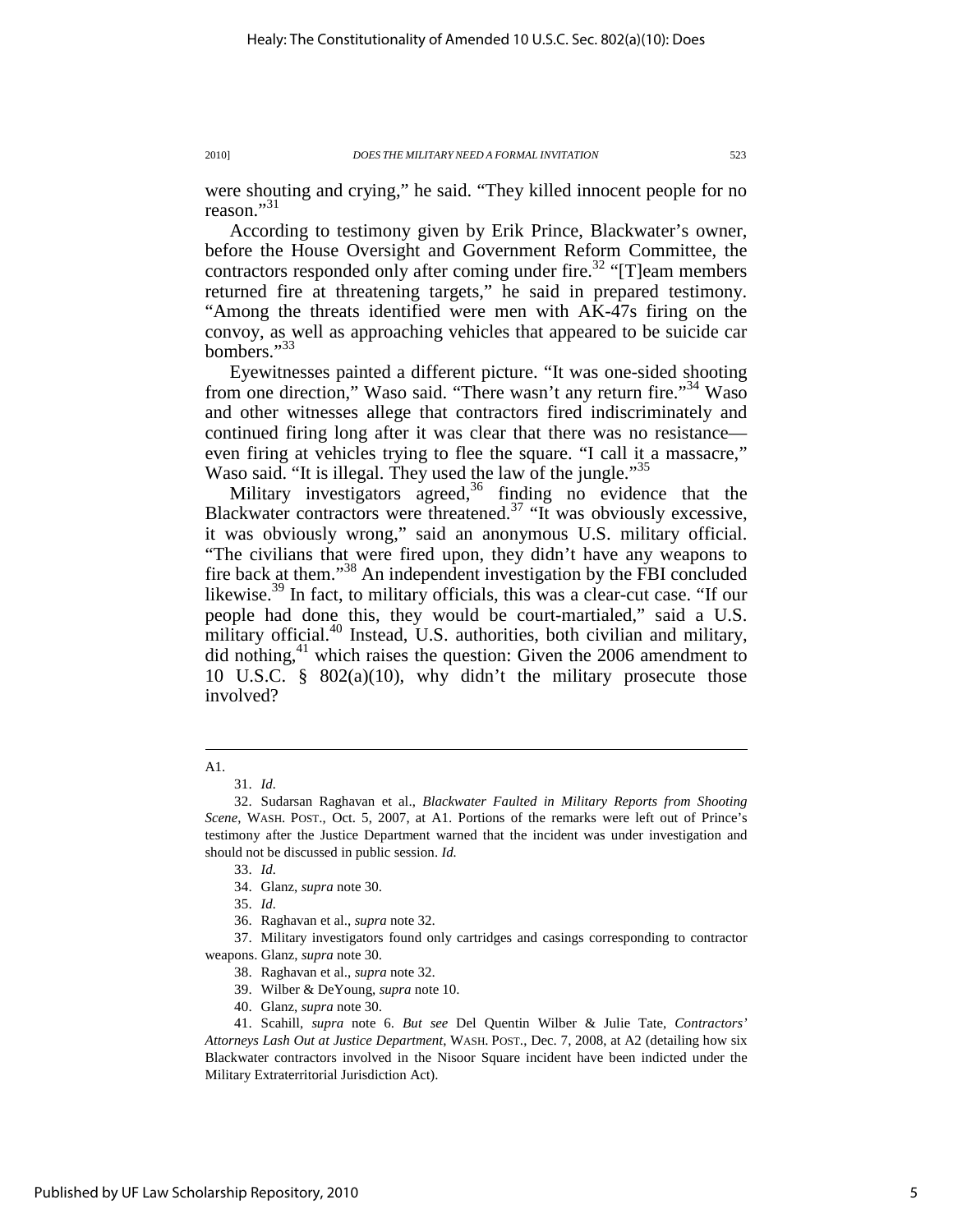were shouting and crying," he said. "They killed innocent people for no reason."<sup>31</sup>

According to testimony given by Erik Prince, Blackwater's owner, before the House Oversight and Government Reform Committee, the contractors responded only after coming under fire.<sup>32</sup> "[T]eam members returned fire at threatening targets," he said in prepared testimony. "Among the threats identified were men with AK-47s firing on the convoy, as well as approaching vehicles that appeared to be suicide car bombers."<sup>33</sup>

Eyewitnesses painted a different picture. "It was one-sided shooting from one direction," Waso said. "There wasn't any return fire."<sup>34</sup> Waso and other witnesses allege that contractors fired indiscriminately and continued firing long after it was clear that there was no resistance even firing at vehicles trying to flee the square. "I call it a massacre," Waso said. "It is illegal. They used the law of the jungle."<sup>35</sup>

Military investigators agreed, $36$  finding no evidence that the Blackwater contractors were threatened.<sup>37</sup> "It was obviously excessive, it was obviously wrong," said an anonymous U.S. military official. "The civilians that were fired upon, they didn't have any weapons to fire back at them."<sup>38</sup> An independent investigation by the FBI concluded likewise.<sup>39</sup> In fact, to military officials, this was a clear-cut case. "If our people had done this, they would be court-martialed," said a U.S. military official.<sup>40</sup> Instead, U.S. authorities, both civilian and military, did nothing, $41$  which raises the question: Given the 2006 amendment to 10 U.S.C. § 802(a)(10), why didn't the military prosecute those involved?

 $\overline{a}$ 

33. *Id.*

A1.

 <sup>31.</sup> *Id.*

 <sup>32.</sup> Sudarsan Raghavan et al., *Blackwater Faulted in Military Reports from Shooting Scene*, WASH. POST., Oct. 5, 2007, at A1. Portions of the remarks were left out of Prince's testimony after the Justice Department warned that the incident was under investigation and should not be discussed in public session. *Id.*

 <sup>34.</sup> Glanz, *supra* note 30.

 <sup>35.</sup> *Id.*

 <sup>36.</sup> Raghavan et al., *supra* note 32.

 <sup>37.</sup> Military investigators found only cartridges and casings corresponding to contractor weapons. Glanz, *supra* note 30.

 <sup>38.</sup> Raghavan et al., *supra* note 32.

 <sup>39.</sup> Wilber & DeYoung, *supra* note 10.

 <sup>40.</sup> Glanz, *supra* note 30.

 <sup>41.</sup> Scahill, *supra* note 6. *But see* Del Quentin Wilber & Julie Tate, *Contractors' Attorneys Lash Out at Justice Department*, WASH. POST., Dec. 7, 2008, at A2 (detailing how six Blackwater contractors involved in the Nisoor Square incident have been indicted under the Military Extraterritorial Jurisdiction Act).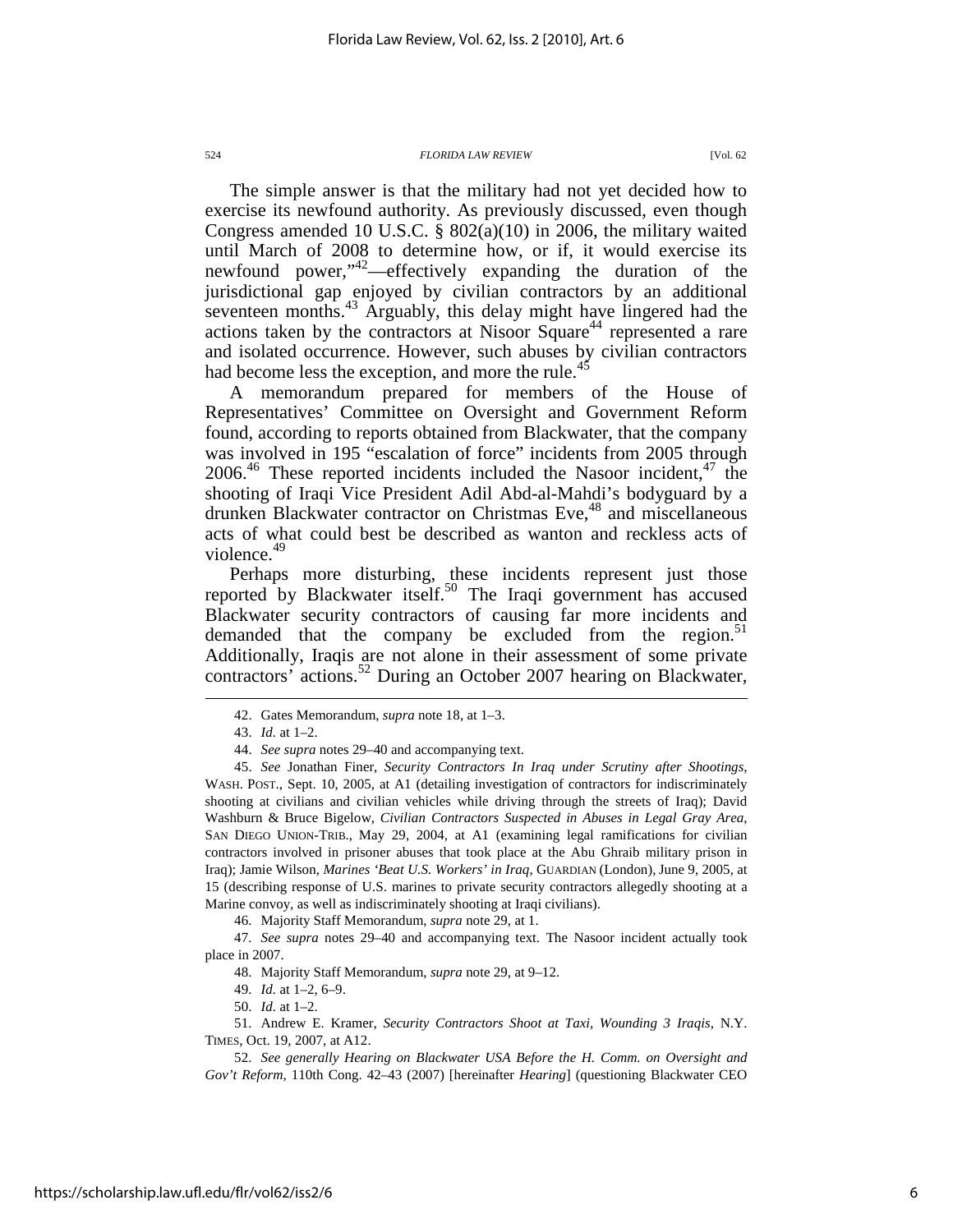The simple answer is that the military had not yet decided how to exercise its newfound authority. As previously discussed, even though Congress amended 10 U.S.C. § 802(a)(10) in 2006, the military waited until March of 2008 to determine how, or if, it would exercise its newfound power,"<sup>42</sup>—effectively expanding the duration of the jurisdictional gap enjoyed by civilian contractors by an additional seventeen months.<sup>43</sup> Arguably, this delay might have lingered had the actions taken by the contractors at Nisoor Square<sup>44</sup> represented a rare and isolated occurrence. However, such abuses by civilian contractors had become less the exception, and more the rule.<sup>45</sup>

A memorandum prepared for members of the House of Representatives' Committee on Oversight and Government Reform found, according to reports obtained from Blackwater, that the company was involved in 195 "escalation of force" incidents from 2005 through  $2006<sup>46</sup>$  These reported incidents included the Nasoor incident,  $47$  the shooting of Iraqi Vice President Adil Abd-al-Mahdi's bodyguard by a drunken Blackwater contractor on Christmas Eve,<sup>48</sup> and miscellaneous acts of what could best be described as wanton and reckless acts of violence.<sup>49</sup>

Perhaps more disturbing, these incidents represent just those reported by Blackwater itself.<sup>50</sup> The Iraqi government has accused Blackwater security contractors of causing far more incidents and demanded that the company be excluded from the region. $51$ Additionally, Iraqis are not alone in their assessment of some private contractors' actions.<sup>52</sup> During an October 2007 hearing on Blackwater,

 $\overline{a}$ 

46. Majority Staff Memorandum, *supra* note 29, at 1.

 47. *See supra* notes 29–40 and accompanying text. The Nasoor incident actually took place in 2007.

48. Majority Staff Memorandum, *supra* note 29, at 9–12.

 51. Andrew E. Kramer, *Security Contractors Shoot at Taxi, Wounding 3 Iraqis*, N.Y. TIMES, Oct. 19, 2007, at A12.

 52. *See generally Hearing on Blackwater USA Before the H. Comm. on Oversight and Gov't Reform*, 110th Cong. 42–43 (2007) [hereinafter *Hearing*] (questioning Blackwater CEO

 <sup>42.</sup> Gates Memorandum, *supra* note 18, at 1–3.

 <sup>43.</sup> *Id.* at 1–2.

 <sup>44.</sup> *See supra* notes 29–40 and accompanying text.

 <sup>45.</sup> *See* Jonathan Finer, *Security Contractors In Iraq under Scrutiny after Shootings*, WASH. POST., Sept. 10, 2005, at A1 (detailing investigation of contractors for indiscriminately shooting at civilians and civilian vehicles while driving through the streets of Iraq); David Washburn & Bruce Bigelow, *Civilian Contractors Suspected in Abuses in Legal Gray Area*, SAN DIEGO UNION-TRIB., May 29, 2004, at A1 (examining legal ramifications for civilian contractors involved in prisoner abuses that took place at the Abu Ghraib military prison in Iraq); Jamie Wilson, *Marines 'Beat U.S. Workers' in Iraq*, GUARDIAN (London), June 9, 2005, at 15 (describing response of U.S. marines to private security contractors allegedly shooting at a Marine convoy, as well as indiscriminately shooting at Iraqi civilians).

 <sup>49.</sup> *Id.* at 1–2, 6–9.

 <sup>50.</sup> *Id.* at 1–2.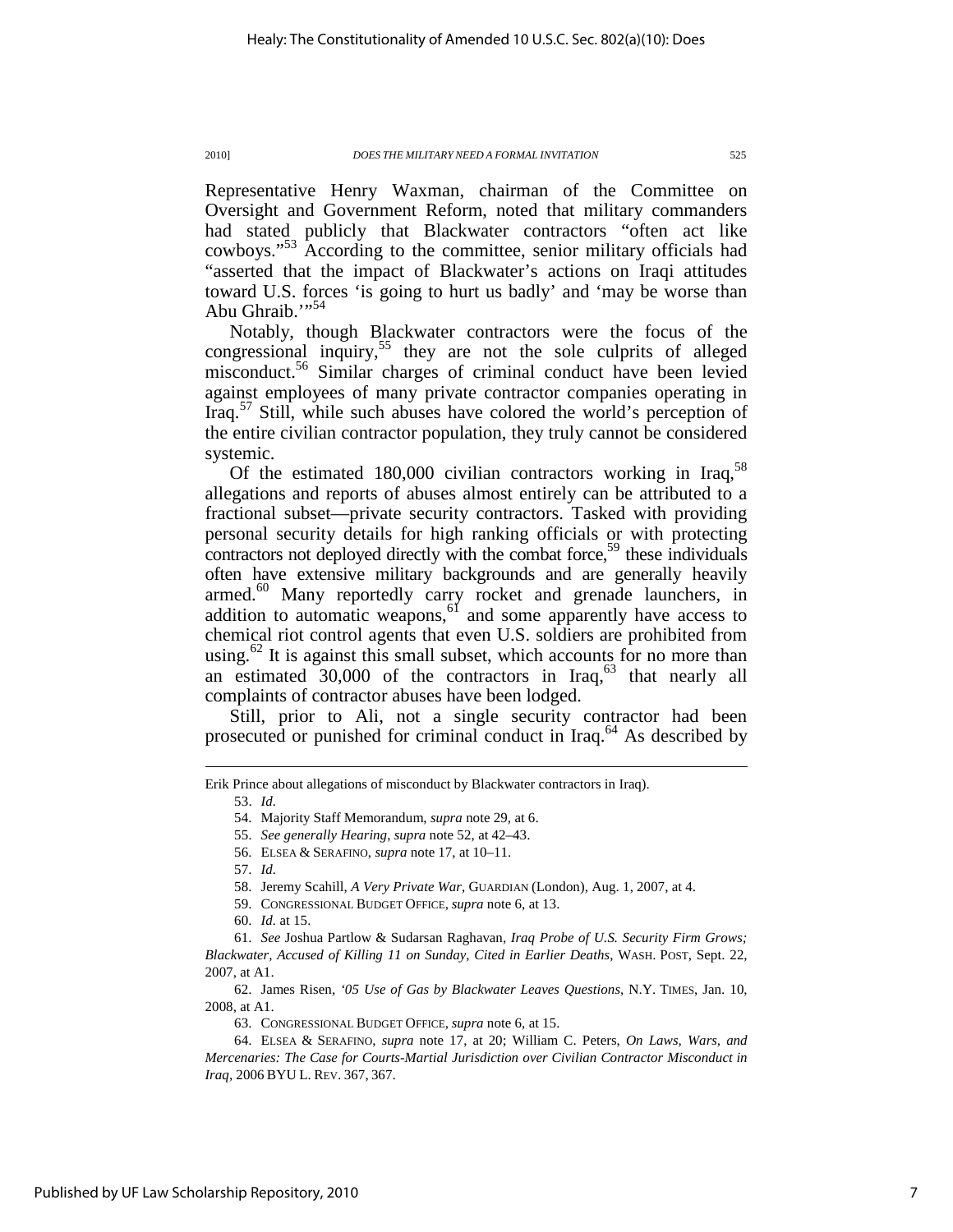Representative Henry Waxman, chairman of the Committee on Oversight and Government Reform, noted that military commanders had stated publicly that Blackwater contractors "often act like cowboys."<sup>53</sup> According to the committee, senior military officials had "asserted that the impact of Blackwater's actions on Iraqi attitudes toward U.S. forces 'is going to hurt us badly' and 'may be worse than Abu Ghraib."<sup>54</sup>

Notably, though Blackwater contractors were the focus of the congressional inquiry,<sup>55</sup> they are not the sole culprits of alleged misconduct.<sup>56</sup> Similar charges of criminal conduct have been levied against employees of many private contractor companies operating in Iraq. $57$  Still, while such abuses have colored the world's perception of the entire civilian contractor population, they truly cannot be considered systemic.

Of the estimated 180,000 civilian contractors working in Iraq,  $58$ allegations and reports of abuses almost entirely can be attributed to a fractional subset—private security contractors. Tasked with providing personal security details for high ranking officials or with protecting contractors not deployed directly with the combat force,<sup>59</sup> these individuals often have extensive military backgrounds and are generally heavily armed.<sup>60</sup> Many reportedly carry rocket and grenade launchers, in addition to automatic weapons,  $\frac{61}{100}$  and some apparently have access to chemical riot control agents that even U.S. soldiers are prohibited from using.<sup>62</sup> It is against this small subset, which accounts for no more than an estimated  $30,000$  of the contractors in Iraq,  $63$  that nearly all complaints of contractor abuses have been lodged.

Still, prior to Ali, not a single security contractor had been prosecuted or punished for criminal conduct in Iraq.<sup>64</sup> As described by

53. *Id.*

 $\overline{a}$ 

57. *Id.*

Erik Prince about allegations of misconduct by Blackwater contractors in Iraq).

 <sup>54.</sup> Majority Staff Memorandum, *supra* note 29, at 6.

 <sup>55.</sup> *See generally Hearing*, *supra* note 52, at 42–43.

 <sup>56.</sup> ELSEA & SERAFINO, *supra* note 17, at 10–11.

 <sup>58.</sup> Jeremy Scahill, *A Very Private War*, GUARDIAN (London), Aug. 1, 2007, at 4.

 <sup>59.</sup> CONGRESSIONAL BUDGET OFFICE, *supra* note 6, at 13.

 <sup>60.</sup> *Id.* at 15.

 <sup>61.</sup> *See* Joshua Partlow & Sudarsan Raghavan, *Iraq Probe of U.S. Security Firm Grows; Blackwater, Accused of Killing 11 on Sunday, Cited in Earlier Deaths*, WASH. POST, Sept. 22, 2007, at A1.

 <sup>62.</sup> James Risen, *'05 Use of Gas by Blackwater Leaves Questions*, N.Y. TIMES, Jan. 10, 2008, at A1.

 <sup>63.</sup> CONGRESSIONAL BUDGET OFFICE, *supra* note 6, at 15.

 <sup>64.</sup> ELSEA & SERAFINO, *supra* note 17, at 20; William C. Peters, *On Laws, Wars, and Mercenaries: The Case for Courts-Martial Jurisdiction over Civilian Contractor Misconduct in Iraq*, 2006 BYU L. REV. 367, 367.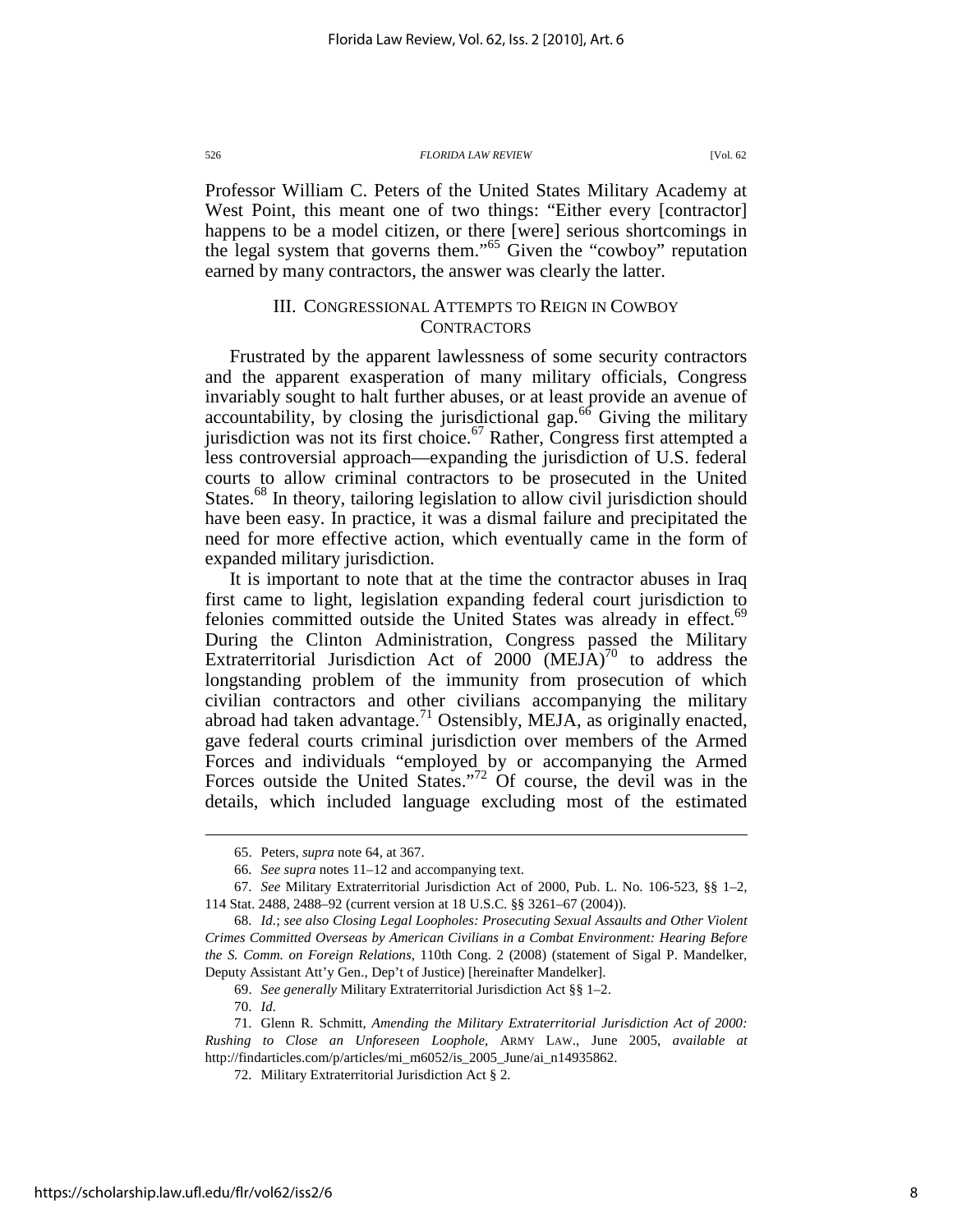Professor William C. Peters of the United States Military Academy at West Point, this meant one of two things: "Either every [contractor] happens to be a model citizen, or there [were] serious shortcomings in the legal system that governs them."<sup>65</sup> Given the "cowboy" reputation earned by many contractors, the answer was clearly the latter.

### III. CONGRESSIONAL ATTEMPTS TO REIGN IN COWBOY **CONTRACTORS**

Frustrated by the apparent lawlessness of some security contractors and the apparent exasperation of many military officials, Congress invariably sought to halt further abuses, or at least provide an avenue of accountability, by closing the jurisdictional gap. $66$  Giving the military jurisdiction was not its first choice.<sup>67</sup> Rather, Congress first attempted a less controversial approach—expanding the jurisdiction of U.S. federal courts to allow criminal contractors to be prosecuted in the United States.<sup>68</sup> In theory, tailoring legislation to allow civil jurisdiction should have been easy. In practice, it was a dismal failure and precipitated the need for more effective action, which eventually came in the form of expanded military jurisdiction.

It is important to note that at the time the contractor abuses in Iraq first came to light, legislation expanding federal court jurisdiction to felonies committed outside the United States was already in effect.<sup>69</sup> During the Clinton Administration, Congress passed the Military Extraterritorial Jurisdiction Act of  $2000$   $(MEJA)^{70}$  to address the longstanding problem of the immunity from prosecution of which civilian contractors and other civilians accompanying the military abroad had taken advantage.<sup>71</sup> Ostensibly, MEJA, as originally enacted, gave federal courts criminal jurisdiction over members of the Armed Forces and individuals "employed by or accompanying the Armed Forces outside the United States."<sup>72</sup> Of course, the devil was in the details, which included language excluding most of the estimated

 <sup>65.</sup> Peters, *supra* note 64, at 367.

 <sup>66.</sup> *See supra* notes 11–12 and accompanying text.

 <sup>67.</sup> *See* Military Extraterritorial Jurisdiction Act of 2000, Pub. L. No. 106-523, §§ 1–2, 114 Stat. 2488, 2488–92 (current version at 18 U.S.C. §§ 3261–67 (2004)).

 <sup>68.</sup> *Id.*; *see also Closing Legal Loopholes: Prosecuting Sexual Assaults and Other Violent Crimes Committed Overseas by American Civilians in a Combat Environment: Hearing Before the S. Comm. on Foreign Relations*, 110th Cong. 2 (2008) (statement of Sigal P. Mandelker, Deputy Assistant Att'y Gen., Dep't of Justice) [hereinafter Mandelker].

 <sup>69.</sup> *See generally* Military Extraterritorial Jurisdiction Act §§ 1–2.

 <sup>70.</sup> *Id.*

 <sup>71.</sup> Glenn R. Schmitt, *Amending the Military Extraterritorial Jurisdiction Act of 2000: Rushing to Close an Unforeseen Loophole*, ARMY LAW., June 2005, *available at*  http://findarticles.com/p/articles/mi\_m6052/is\_2005\_June/ai\_n14935862.

 <sup>72.</sup> Military Extraterritorial Jurisdiction Act § 2.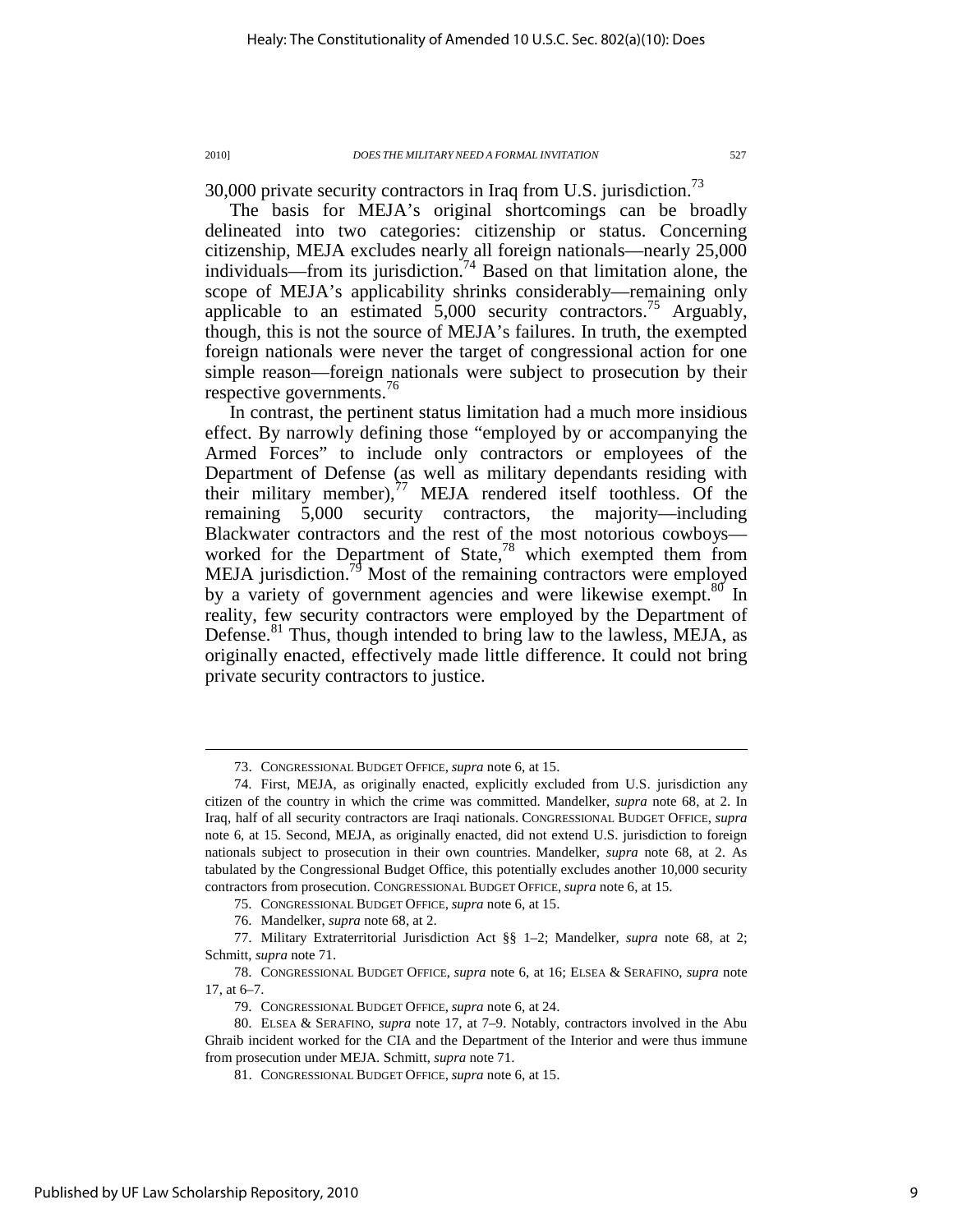30,000 private security contractors in Iraq from U.S. jurisdiction.<sup>73</sup>

The basis for MEJA's original shortcomings can be broadly delineated into two categories: citizenship or status. Concerning citizenship, MEJA excludes nearly all foreign nationals—nearly 25,000 individuals—from its jurisdiction.<sup>74</sup> Based on that limitation alone, the scope of MEJA's applicability shrinks considerably—remaining only applicable to an estimated  $5,000$  security contractors.<sup>75</sup> Arguably, though, this is not the source of MEJA's failures. In truth, the exempted foreign nationals were never the target of congressional action for one simple reason—foreign nationals were subject to prosecution by their respective governments.<sup>76</sup>

In contrast, the pertinent status limitation had a much more insidious effect. By narrowly defining those "employed by or accompanying the Armed Forces" to include only contractors or employees of the Department of Defense (as well as military dependants residing with their military member), $\frac{1}{1}$  MEJA rendered itself toothless. Of the remaining 5,000 security contractors, the majority—including Blackwater contractors and the rest of the most notorious cowboys worked for the Department of State, $78$  which exempted them from MEJA jurisdiction.<sup>19</sup> Most of the remaining contractors were employed by a variety of government agencies and were likewise exempt.<sup>80</sup> In reality, few security contractors were employed by the Department of Defense.<sup>81</sup> Thus, though intended to bring law to the lawless, MEJA, as originally enacted, effectively made little difference. It could not bring private security contractors to justice.

75. CONGRESSIONAL BUDGET OFFICE, *supra* note 6, at 15.

 <sup>73.</sup> CONGRESSIONAL BUDGET OFFICE, *supra* note 6, at 15.

 <sup>74.</sup> First, MEJA, as originally enacted, explicitly excluded from U.S. jurisdiction any citizen of the country in which the crime was committed. Mandelker, *supra* note 68, at 2. In Iraq, half of all security contractors are Iraqi nationals. CONGRESSIONAL BUDGET OFFICE, *supra*  note 6, at 15. Second, MEJA, as originally enacted, did not extend U.S. jurisdiction to foreign nationals subject to prosecution in their own countries. Mandelker, *supra* note 68, at 2. As tabulated by the Congressional Budget Office, this potentially excludes another 10,000 security contractors from prosecution. CONGRESSIONAL BUDGET OFFICE, *supra* note 6, at 15.

 <sup>76.</sup> Mandelker, *supra* note 68, at 2.

 <sup>77.</sup> Military Extraterritorial Jurisdiction Act §§ 1–2; Mandelker, *supra* note 68, at 2; Schmitt, *supra* note 71.

 <sup>78.</sup> CONGRESSIONAL BUDGET OFFICE, *supra* note 6, at 16; ELSEA & SERAFINO, *supra* note 17, at 6–7.

 <sup>79.</sup> CONGRESSIONAL BUDGET OFFICE, *supra* note 6, at 24.

 <sup>80.</sup> ELSEA & SERAFINO, *supra* note 17, at 7–9. Notably, contractors involved in the Abu Ghraib incident worked for the CIA and the Department of the Interior and were thus immune from prosecution under MEJA. Schmitt, *supra* note 71.

 <sup>81.</sup> CONGRESSIONAL BUDGET OFFICE, *supra* note 6, at 15.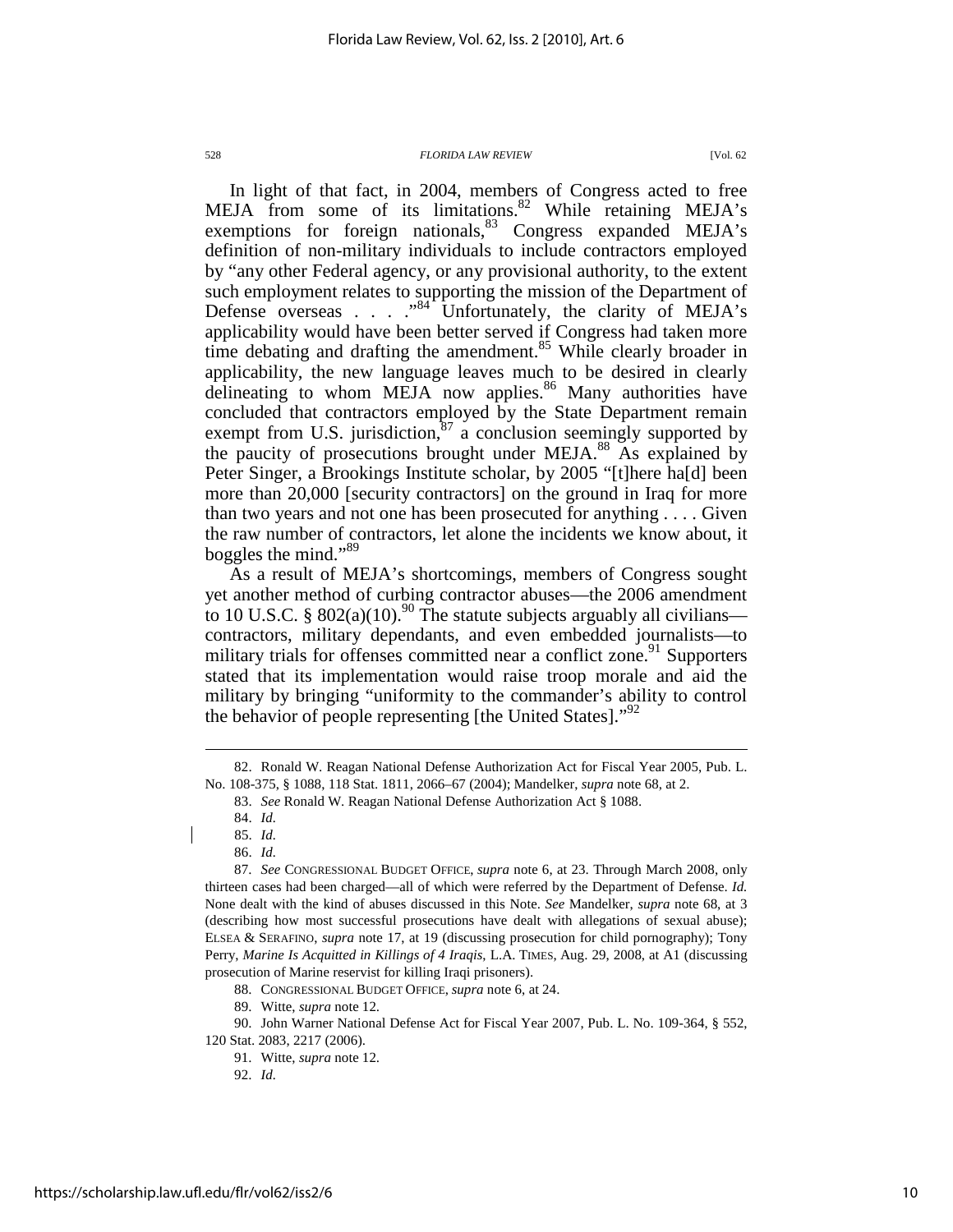In light of that fact, in 2004, members of Congress acted to free MEJA from some of its limitations. $82$  While retaining MEJA's exemptions for foreign nationals, $83$  Congress expanded MEJA's definition of non-military individuals to include contractors employed by "any other Federal agency, or any provisional authority, to the extent such employment relates to supporting the mission of the Department of Defense overseas . . .  $.^{94}$  Unfortunately, the clarity of MEJA's applicability would have been better served if Congress had taken more time debating and drafting the amendment.<sup>85</sup> While clearly broader in applicability, the new language leaves much to be desired in clearly delineating to whom MEJA now applies.<sup>86</sup> Many authorities have concluded that contractors employed by the State Department remain exempt from U.S. jurisdiction,  $87$  a conclusion seemingly supported by the paucity of prosecutions brought under MEJA.<sup>88</sup> As explained by Peter Singer, a Brookings Institute scholar, by 2005 "[t]here ha[d] been more than 20,000 [security contractors] on the ground in Iraq for more than two years and not one has been prosecuted for anything . . . . Given the raw number of contractors, let alone the incidents we know about, it boggles the mind."<sup>89</sup>

As a result of MEJA's shortcomings, members of Congress sought yet another method of curbing contractor abuses—the 2006 amendment to 10 U.S.C. §  $802(a)(10).^{90}$  The statute subjects arguably all civilians contractors, military dependants, and even embedded journalists—to military trials for offenses committed near a conflict zone.<sup>91</sup> Supporters stated that its implementation would raise troop morale and aid the military by bringing "uniformity to the commander's ability to control the behavior of people representing [the United States]."<sup>92</sup>

 $\overline{a}$ 

88. CONGRESSIONAL BUDGET OFFICE, *supra* note 6, at 24.

 <sup>82.</sup> Ronald W. Reagan National Defense Authorization Act for Fiscal Year 2005, Pub. L. No. 108-375, § 1088, 118 Stat. 1811, 2066–67 (2004); Mandelker, *supra* note 68, at 2.

 <sup>83.</sup> *See* Ronald W. Reagan National Defense Authorization Act § 1088.

 <sup>84.</sup> *Id.*

 <sup>85.</sup> *Id.*

 <sup>86.</sup> *Id.*

 <sup>87.</sup> *See* CONGRESSIONAL BUDGET OFFICE, *supra* note 6, at 23. Through March 2008, only thirteen cases had been charged—all of which were referred by the Department of Defense. *Id.*  None dealt with the kind of abuses discussed in this Note. *See* Mandelker, *supra* note 68, at 3 (describing how most successful prosecutions have dealt with allegations of sexual abuse); ELSEA & SERAFINO, *supra* note 17, at 19 (discussing prosecution for child pornography); Tony Perry, *Marine Is Acquitted in Killings of 4 Iraqis*, L.A. TIMES, Aug. 29, 2008, at A1 (discussing prosecution of Marine reservist for killing Iraqi prisoners).

 <sup>89.</sup> Witte, *supra* note 12.

 <sup>90.</sup> John Warner National Defense Act for Fiscal Year 2007, Pub. L. No. 109-364, § 552, 120 Stat. 2083, 2217 (2006).

 <sup>91.</sup> Witte, *supra* note 12.

 <sup>92.</sup> *Id.*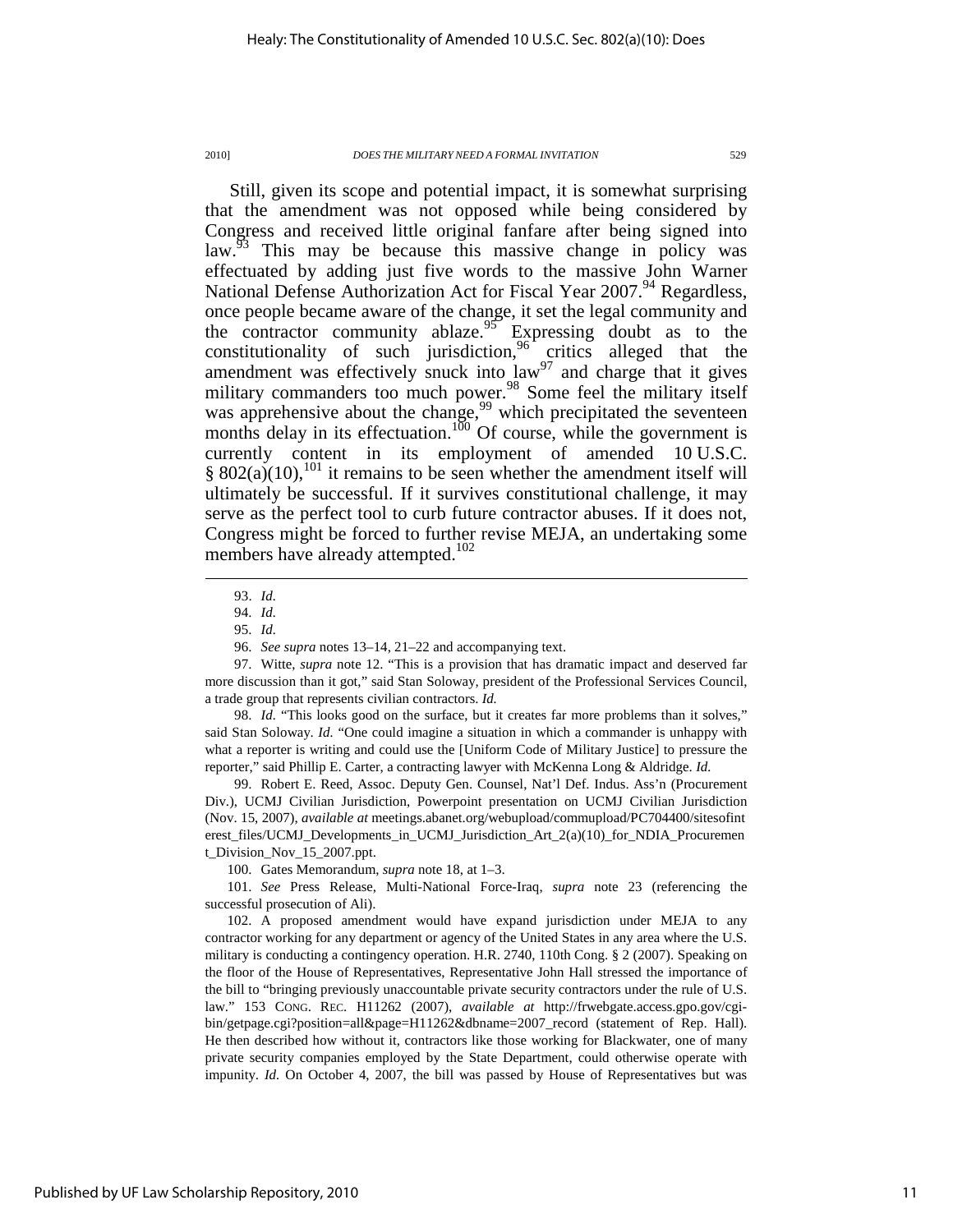Still, given its scope and potential impact, it is somewhat surprising that the amendment was not opposed while being considered by Congress and received little original fanfare after being signed into law.<sup>93</sup> This may be because this massive change in policy was effectuated by adding just five words to the massive John Warner National Defense Authorization Act for Fiscal Year 2007.<sup>94</sup> Regardless, once people became aware of the change, it set the legal community and the contractor community ablaze.<sup>95</sup> Expressing doubt as to the constitutionality of such jurisdiction,  $96<sup>6</sup>$  critics alleged that the amendment was effectively snuck into  $\int a w^{97}$  and charge that it gives military commanders too much power.<sup>98</sup> Some feel the military itself was apprehensive about the change,  $99$  which precipitated the seventeen months delay in its effectuation.<sup>100</sup> Of course, while the government is currently content in its employment of amended 10 U.S.C. § 802(a)(10),<sup>101</sup> it remains to be seen whether the amendment itself will ultimately be successful. If it survives constitutional challenge, it may serve as the perfect tool to curb future contractor abuses. If it does not, Congress might be forced to further revise MEJA, an undertaking some members have already attempted.<sup>102</sup>

 $\overline{a}$ 

98. *Id.* "This looks good on the surface, but it creates far more problems than it solves," said Stan Soloway. *Id.* "One could imagine a situation in which a commander is unhappy with what a reporter is writing and could use the [Uniform Code of Military Justice] to pressure the reporter," said Phillip E. Carter, a contracting lawyer with McKenna Long & Aldridge. *Id.*

 99. Robert E. Reed, Assoc. Deputy Gen. Counsel, Nat'l Def. Indus. Ass'n (Procurement Div.), UCMJ Civilian Jurisdiction, Powerpoint presentation on UCMJ Civilian Jurisdiction (Nov. 15, 2007), *available at* meetings.abanet.org/webupload/commupload/PC704400/sitesofint erest\_files/UCMJ\_Developments\_in\_UCMJ\_Jurisdiction\_Art\_2(a)(10)\_for\_NDIA\_Procuremen t\_Division\_Nov\_15\_2007.ppt.

100. Gates Memorandum, *supra* note 18, at 1–3.

 101. *See* Press Release, Multi-National Force-Iraq, *supra* note 23 (referencing the successful prosecution of Ali).

 102. A proposed amendment would have expand jurisdiction under MEJA to any contractor working for any department or agency of the United States in any area where the U.S. military is conducting a contingency operation. H.R. 2740, 110th Cong. § 2 (2007). Speaking on the floor of the House of Representatives, Representative John Hall stressed the importance of the bill to "bringing previously unaccountable private security contractors under the rule of U.S. law." 153 CONG. REC. H11262 (2007), *available at* http://frwebgate.access.gpo.gov/cgibin/getpage.cgi?position=all&page=H11262&dbname=2007\_record (statement of Rep. Hall). He then described how without it, contractors like those working for Blackwater, one of many private security companies employed by the State Department, could otherwise operate with impunity. *Id.* On October 4, 2007, the bill was passed by House of Representatives but was

 <sup>93.</sup> *Id.*

 <sup>94.</sup> *Id.*

 <sup>95.</sup> *Id.*

 <sup>96.</sup> *See supra* notes 13–14, 21–22 and accompanying text.

 <sup>97.</sup> Witte, *supra* note 12. "This is a provision that has dramatic impact and deserved far more discussion than it got," said Stan Soloway, president of the Professional Services Council, a trade group that represents civilian contractors. *Id.*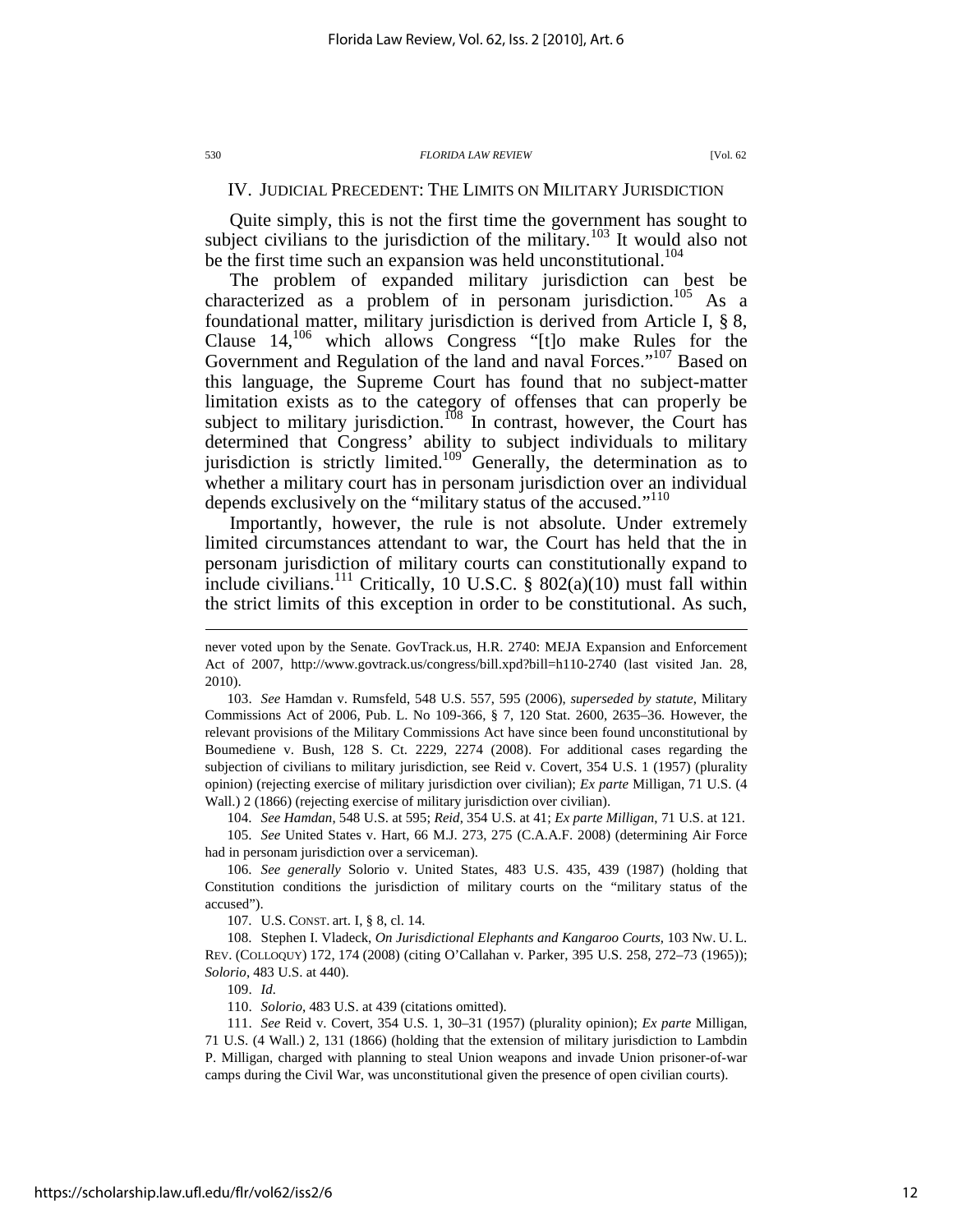### IV. JUDICIAL PRECEDENT: THE LIMITS ON MILITARY JURISDICTION

Quite simply, this is not the first time the government has sought to subject civilians to the jurisdiction of the military.<sup>103</sup> It would also not be the first time such an expansion was held unconstitutional.<sup>104</sup>

The problem of expanded military jurisdiction can best be characterized as a problem of in personam jurisdiction.<sup>105</sup> As a foundational matter, military jurisdiction is derived from Article I, § 8, Clause 14,<sup>106</sup> which allows Congress "[t]o make Rules for the Government and Regulation of the land and naval Forces."<sup>107</sup> Based on this language, the Supreme Court has found that no subject-matter limitation exists as to the category of offenses that can properly be subject to military jurisdiction.<sup>108</sup> In contrast, however, the Court has determined that Congress' ability to subject individuals to military jurisdiction is strictly limited.<sup>109</sup> Generally, the determination as to whether a military court has in personam jurisdiction over an individual depends exclusively on the "military status of the accused."<sup>110</sup>

Importantly, however, the rule is not absolute. Under extremely limited circumstances attendant to war, the Court has held that the in personam jurisdiction of military courts can constitutionally expand to include civilians.<sup>111</sup> Critically, 10 U.S.C. § 802(a)(10) must fall within the strict limits of this exception in order to be constitutional. As such,

 103. *See* Hamdan v. Rumsfeld, 548 U.S. 557, 595 (2006), *superseded by statute*, Military Commissions Act of 2006, Pub. L. No 109-366, § 7, 120 Stat. 2600, 2635–36. However, the relevant provisions of the Military Commissions Act have since been found unconstitutional by Boumediene v. Bush, 128 S. Ct. 2229, 2274 (2008). For additional cases regarding the subjection of civilians to military jurisdiction, see Reid v. Covert, 354 U.S. 1 (1957) (plurality opinion) (rejecting exercise of military jurisdiction over civilian); *Ex parte* Milligan, 71 U.S. (4 Wall.) 2 (1866) (rejecting exercise of military jurisdiction over civilian).

104. *See Hamdan*, 548 U.S. at 595; *Reid*, 354 U.S. at 41; *Ex parte Milligan*, 71 U.S. at 121.

 105. *See* United States v. Hart, 66 M.J. 273, 275 (C.A.A.F. 2008) (determining Air Force had in personam jurisdiction over a serviceman).

 106. *See generally* Solorio v. United States, 483 U.S. 435, 439 (1987) (holding that Constitution conditions the jurisdiction of military courts on the "military status of the accused").

107. U.S. CONST. art. I, § 8, cl. 14.

 108. Stephen I. Vladeck, *On Jurisdictional Elephants and Kangaroo Courts*, 103 NW. U. L. REV. (COLLOQUY) 172, 174 (2008) (citing O'Callahan v. Parker, 395 U.S. 258, 272–73 (1965)); *Solorio*, 483 U.S. at 440).

109. *Id.*

110. *Solorio*, 483 U.S. at 439 (citations omitted).

 111. *See* Reid v. Covert, 354 U.S. 1, 30–31 (1957) (plurality opinion); *Ex parte* Milligan, 71 U.S. (4 Wall.) 2, 131 (1866) (holding that the extension of military jurisdiction to Lambdin P. Milligan, charged with planning to steal Union weapons and invade Union prisoner-of-war camps during the Civil War, was unconstitutional given the presence of open civilian courts).

never voted upon by the Senate. GovTrack.us, H.R. 2740: MEJA Expansion and Enforcement Act of 2007, http://www.govtrack.us/congress/bill.xpd?bill=h110-2740 (last visited Jan. 28, 2010).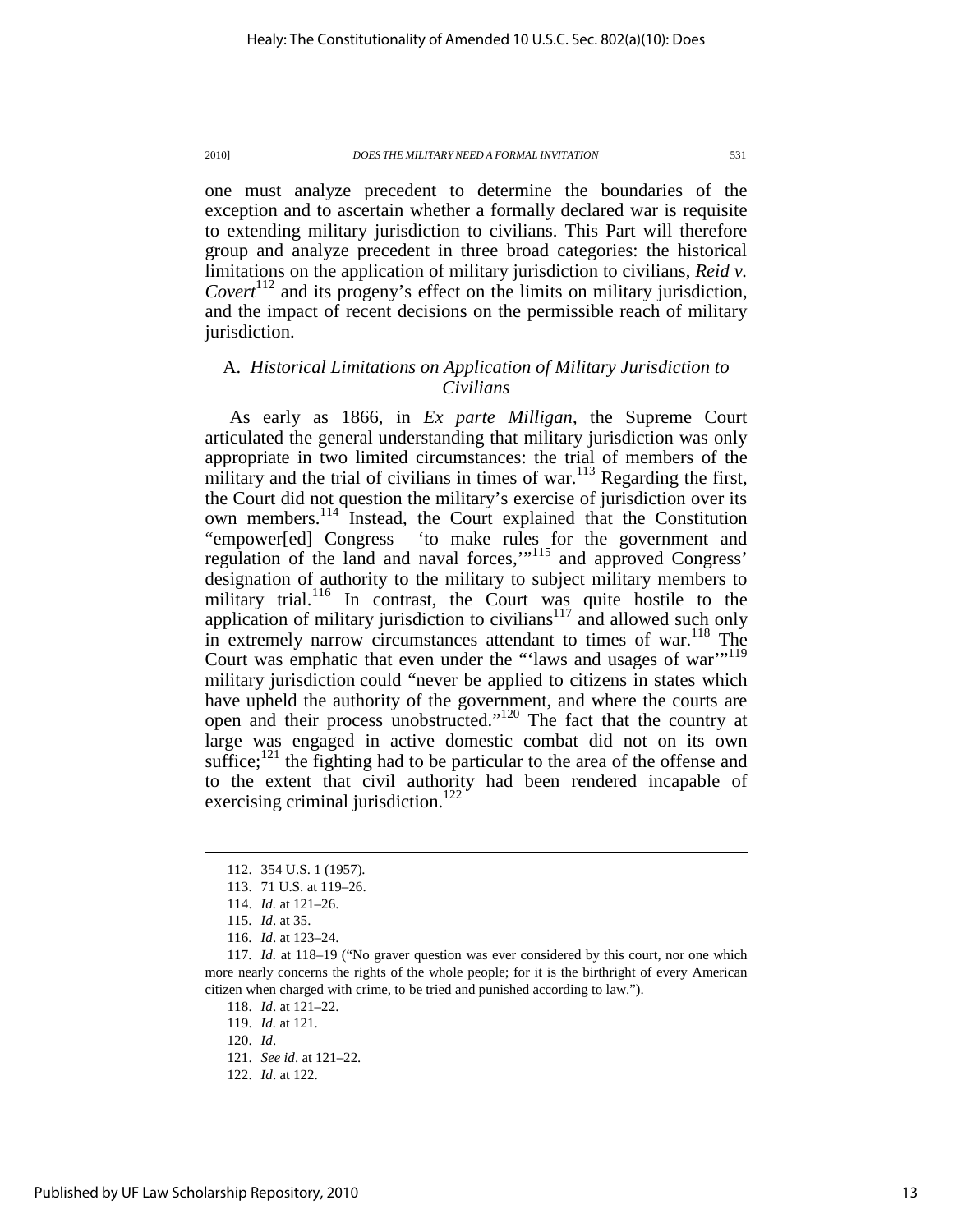one must analyze precedent to determine the boundaries of the exception and to ascertain whether a formally declared war is requisite to extending military jurisdiction to civilians. This Part will therefore group and analyze precedent in three broad categories: the historical limitations on the application of military jurisdiction to civilians, *Reid v. Covert*<sup>112</sup> and its progeny's effect on the limits on military jurisdiction, and the impact of recent decisions on the permissible reach of military jurisdiction.

### A. *Historical Limitations on Application of Military Jurisdiction to Civilians*

As early as 1866, in *Ex parte Milligan*, the Supreme Court articulated the general understanding that military jurisdiction was only appropriate in two limited circumstances: the trial of members of the military and the trial of civilians in times of war. $113$  Regarding the first, the Court did not question the military's exercise of jurisdiction over its own members.<sup>114</sup> Instead, the Court explained that the Constitution "empower[ed] Congress 'to make rules for the government and regulation of the land and naval forces,"<sup>115</sup> and approved Congress' designation of authority to the military to subject military members to military trial.<sup>116</sup> In contrast, the Court was quite hostile to the application of military jurisdiction to civilians $117$  and allowed such only in extremely narrow circumstances attendant to times of war.<sup>118</sup> The Court was emphatic that even under the "'laws and usages of war"<sup>119</sup> military jurisdiction could "never be applied to citizens in states which have upheld the authority of the government, and where the courts are open and their process unobstructed."<sup>120</sup> The fact that the country at large was engaged in active domestic combat did not on its own suffice; $121$  the fighting had to be particular to the area of the offense and to the extent that civil authority had been rendered incapable of exercising criminal jurisdiction.<sup>122</sup>

 <sup>112. 354</sup> U.S. 1 (1957).

 <sup>113. 71</sup> U.S. at 119–26.

 <sup>114.</sup> *Id.* at 121–26.

 <sup>115.</sup> *Id*. at 35.

 <sup>116.</sup> *Id*. at 123–24.

 <sup>117.</sup> *Id.* at 118–19 ("No graver question was ever considered by this court, nor one which more nearly concerns the rights of the whole people; for it is the birthright of every American citizen when charged with crime, to be tried and punished according to law.").

 <sup>118.</sup> *Id*. at 121–22.

 <sup>119.</sup> *Id.* at 121.

 <sup>120.</sup> *Id*.

 <sup>121.</sup> *See id*. at 121–22.

 <sup>122.</sup> *Id*. at 122.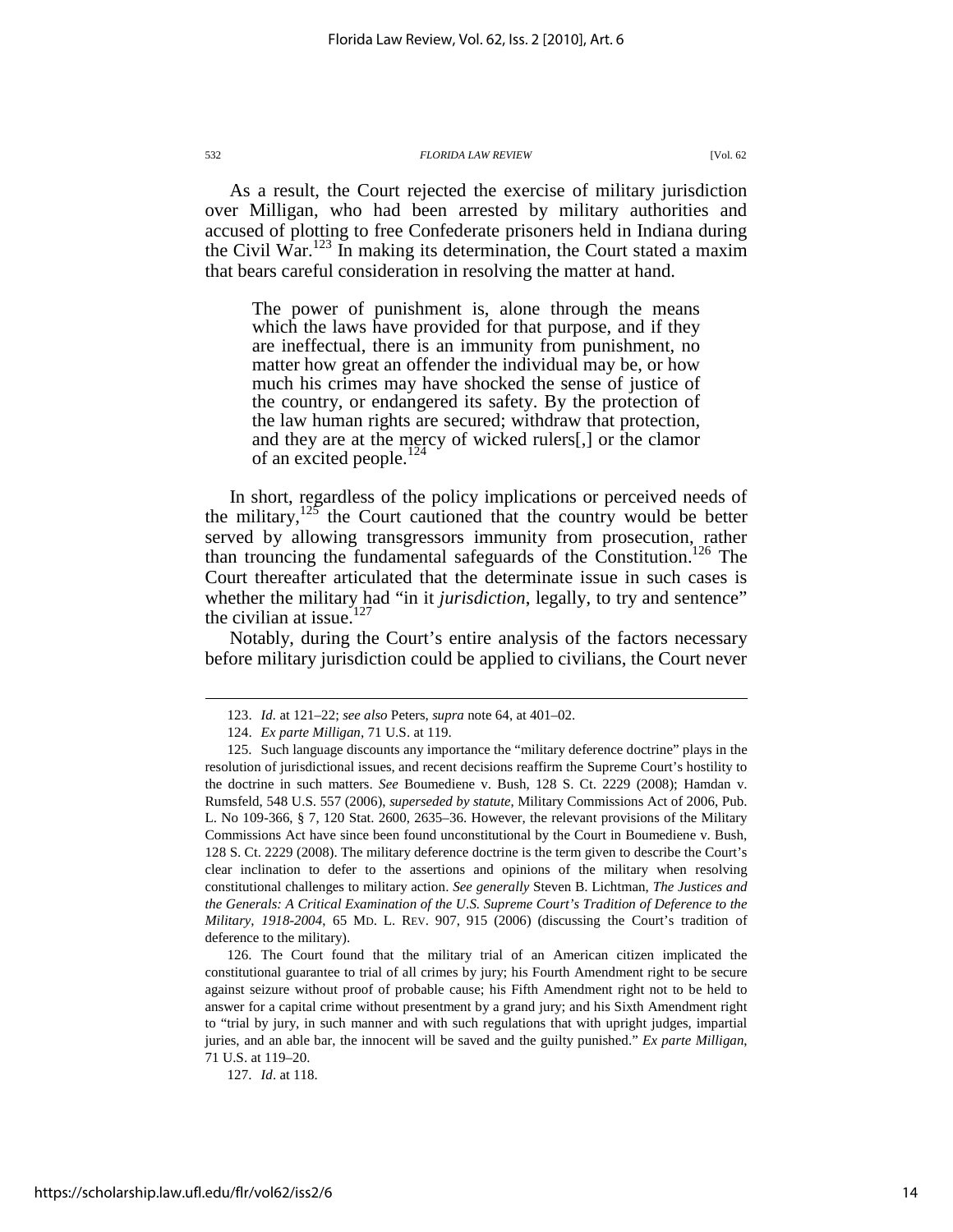As a result, the Court rejected the exercise of military jurisdiction over Milligan, who had been arrested by military authorities and accused of plotting to free Confederate prisoners held in Indiana during the Civil War.<sup>123</sup> In making its determination, the Court stated a maxim that bears careful consideration in resolving the matter at hand.

The power of punishment is, alone through the means which the laws have provided for that purpose, and if they are ineffectual, there is an immunity from punishment, no matter how great an offender the individual may be, or how much his crimes may have shocked the sense of justice of the country, or endangered its safety. By the protection of the law human rights are secured; withdraw that protection, and they are at the mercy of wicked rulers[,] or the clamor of an excited people.<sup>1</sup>

In short, regardless of the policy implications or perceived needs of the military,  $125$  the Court cautioned that the country would be better served by allowing transgressors immunity from prosecution, rather than trouncing the fundamental safeguards of the Constitution.<sup>126</sup> The Court thereafter articulated that the determinate issue in such cases is whether the military had "in it *jurisdiction*, legally, to try and sentence" the civilian at issue.<sup>127</sup>

Notably, during the Court's entire analysis of the factors necessary before military jurisdiction could be applied to civilians, the Court never

 126. The Court found that the military trial of an American citizen implicated the constitutional guarantee to trial of all crimes by jury; his Fourth Amendment right to be secure against seizure without proof of probable cause; his Fifth Amendment right not to be held to answer for a capital crime without presentment by a grand jury; and his Sixth Amendment right to "trial by jury, in such manner and with such regulations that with upright judges, impartial juries, and an able bar, the innocent will be saved and the guilty punished." *Ex parte Milligan*, 71 U.S. at 119–20.

 <sup>123.</sup> *Id.* at 121–22; *see also* Peters, *supra* note 64, at 401–02.

 <sup>124.</sup> *Ex parte Milligan*, 71 U.S. at 119.

 <sup>125.</sup> Such language discounts any importance the "military deference doctrine" plays in the resolution of jurisdictional issues, and recent decisions reaffirm the Supreme Court's hostility to the doctrine in such matters. *See* Boumediene v. Bush, 128 S. Ct. 2229 (2008); Hamdan v. Rumsfeld, 548 U.S. 557 (2006), *superseded by statute*, Military Commissions Act of 2006, Pub. L. No 109-366, § 7, 120 Stat. 2600, 2635–36. However, the relevant provisions of the Military Commissions Act have since been found unconstitutional by the Court in Boumediene v. Bush, 128 S. Ct. 2229 (2008). The military deference doctrine is the term given to describe the Court's clear inclination to defer to the assertions and opinions of the military when resolving constitutional challenges to military action. *See generally* Steven B. Lichtman, *The Justices and the Generals: A Critical Examination of the U.S. Supreme Court's Tradition of Deference to the Military, 1918-2004*, 65 MD. L. REV. 907, 915 (2006) (discussing the Court's tradition of deference to the military).

 <sup>127.</sup> *Id*. at 118.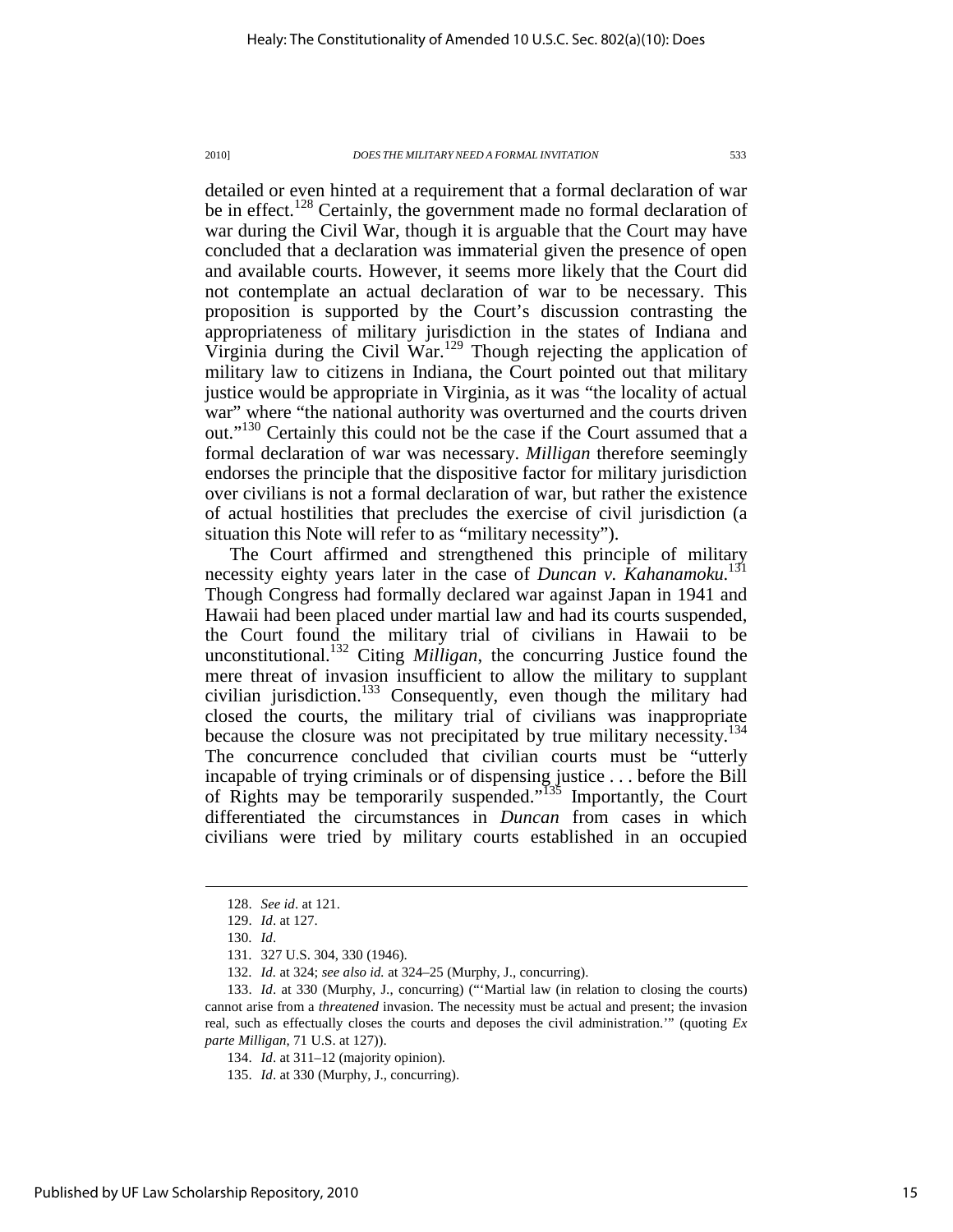detailed or even hinted at a requirement that a formal declaration of war be in effect.<sup>128</sup> Certainly, the government made no formal declaration of war during the Civil War, though it is arguable that the Court may have concluded that a declaration was immaterial given the presence of open and available courts. However, it seems more likely that the Court did not contemplate an actual declaration of war to be necessary. This proposition is supported by the Court's discussion contrasting the appropriateness of military jurisdiction in the states of Indiana and Virginia during the Civil War.<sup>129</sup> Though rejecting the application of military law to citizens in Indiana, the Court pointed out that military justice would be appropriate in Virginia, as it was "the locality of actual war" where "the national authority was overturned and the courts driven out."<sup>130</sup> Certainly this could not be the case if the Court assumed that a formal declaration of war was necessary. *Milligan* therefore seemingly endorses the principle that the dispositive factor for military jurisdiction over civilians is not a formal declaration of war, but rather the existence of actual hostilities that precludes the exercise of civil jurisdiction (a situation this Note will refer to as "military necessity").

The Court affirmed and strengthened this principle of military necessity eighty years later in the case of *Duncan v. Kahanamoku*. 131 Though Congress had formally declared war against Japan in 1941 and Hawaii had been placed under martial law and had its courts suspended, the Court found the military trial of civilians in Hawaii to be unconstitutional.<sup>132</sup> Citing *Milligan*, the concurring Justice found the mere threat of invasion insufficient to allow the military to supplant civilian jurisdiction.<sup>133</sup> Consequently, even though the military had closed the courts, the military trial of civilians was inappropriate because the closure was not precipitated by true military necessity.<sup>134</sup> The concurrence concluded that civilian courts must be "utterly incapable of trying criminals or of dispensing justice . . . before the Bill of Rights may be temporarily suspended."<sup>135</sup> Importantly, the Court differentiated the circumstances in *Duncan* from cases in which civilians were tried by military courts established in an occupied

 <sup>128.</sup> *See id*. at 121.

 <sup>129.</sup> *Id*. at 127.

 <sup>130.</sup> *Id*.

 <sup>131. 327</sup> U.S. 304, 330 (1946).

 <sup>132.</sup> *Id.* at 324; *see also id.* at 324–25 (Murphy, J., concurring).

 <sup>133.</sup> *Id*. at 330 (Murphy, J., concurring) ("'Martial law (in relation to closing the courts) cannot arise from a *threatened* invasion. The necessity must be actual and present; the invasion real, such as effectually closes the courts and deposes the civil administration.'" (quoting *Ex parte Milligan*, 71 U.S. at 127)).

 <sup>134.</sup> *Id*. at 311–12 (majority opinion).

 <sup>135.</sup> *Id*. at 330 (Murphy, J., concurring).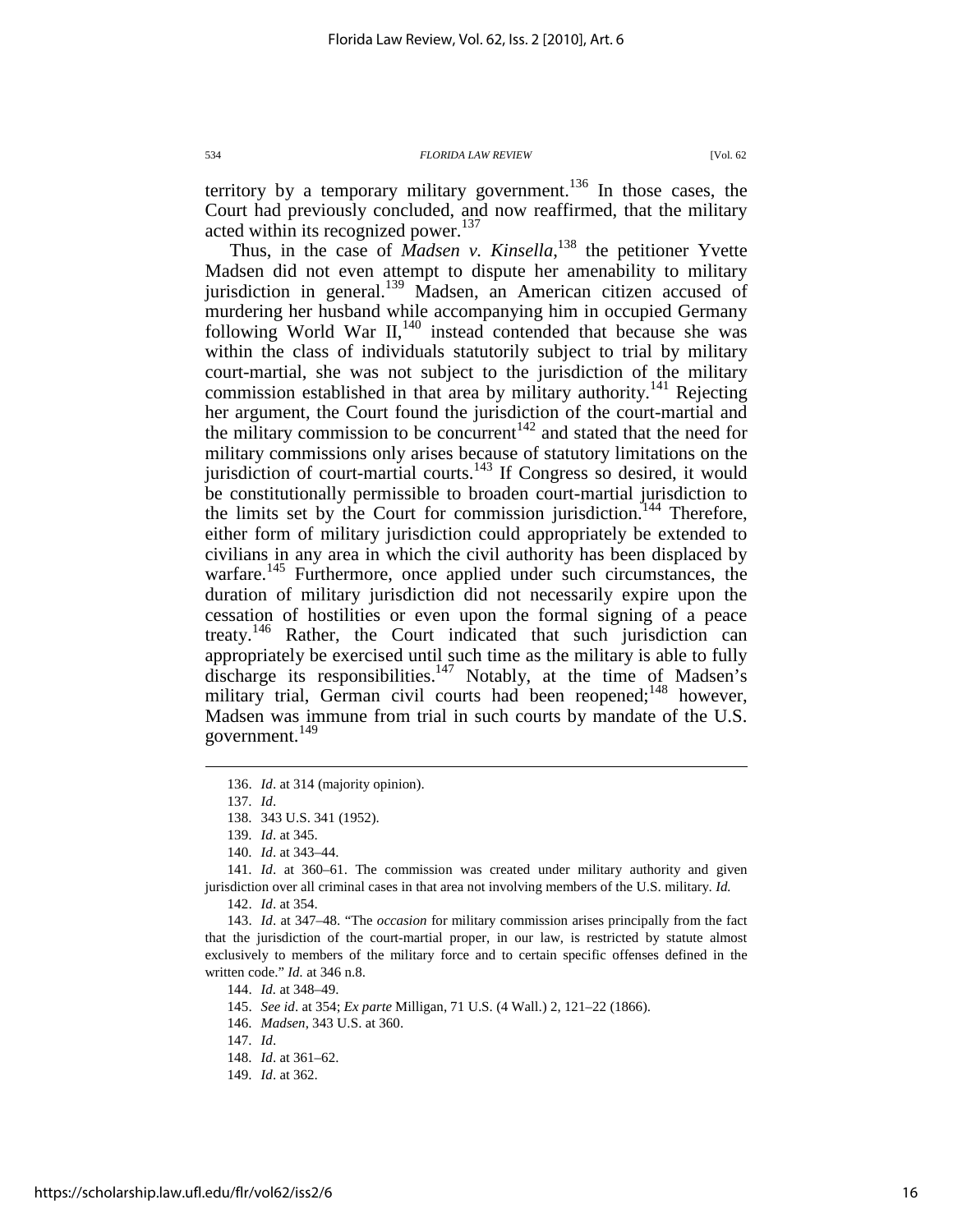territory by a temporary military government.<sup>136</sup> In those cases, the Court had previously concluded, and now reaffirmed, that the military acted within its recognized power.<sup>137</sup>

Thus, in the case of *Madsen v. Kinsella*,<sup>138</sup> the petitioner Yvette Madsen did not even attempt to dispute her amenability to military jurisdiction in general.<sup>139</sup> Madsen, an American citizen accused of murdering her husband while accompanying him in occupied Germany following World War  $II$ ,<sup>140</sup> instead contended that because she was within the class of individuals statutorily subject to trial by military court-martial, she was not subject to the jurisdiction of the military commission established in that area by military authority.<sup>141</sup> Rejecting her argument, the Court found the jurisdiction of the court-martial and the military commission to be concurrent<sup> $142$ </sup> and stated that the need for military commissions only arises because of statutory limitations on the jurisdiction of court-martial courts.<sup>143</sup> If Congress so desired, it would be constitutionally permissible to broaden court-martial jurisdiction to the limits set by the Court for commission jurisdiction.<sup>144</sup> Therefore, either form of military jurisdiction could appropriately be extended to civilians in any area in which the civil authority has been displaced by warfare.<sup>145</sup> Furthermore, once applied under such circumstances, the duration of military jurisdiction did not necessarily expire upon the cessation of hostilities or even upon the formal signing of a peace treaty.<sup>146</sup> Rather, the Court indicated that such jurisdiction can appropriately be exercised until such time as the military is able to fully discharge its responsibilities.<sup>147</sup> Notably, at the time of Madsen's military trial, German civil courts had been reopened;<sup>148</sup> however, Madsen was immune from trial in such courts by mandate of the U.S. government.<sup>149</sup>

 $\overline{a}$ 

 141. *Id*. at 360–61. The commission was created under military authority and given jurisdiction over all criminal cases in that area not involving members of the U.S. military. *Id.* 

142. *Id*. at 354.

 143. *Id*. at 347–48. "The *occasion* for military commission arises principally from the fact that the jurisdiction of the court-martial proper, in our law, is restricted by statute almost exclusively to members of the military force and to certain specific offenses defined in the written code." *Id.* at 346 n.8.

145. *See id*. at 354; *Ex parte* Milligan, 71 U.S. (4 Wall.) 2, 121–22 (1866).

146. *Madsen*, 343 U.S. at 360.

 <sup>136.</sup> *Id*. at 314 (majority opinion).

 <sup>137.</sup> *Id*.

 <sup>138. 343</sup> U.S. 341 (1952).

 <sup>139.</sup> *Id*. at 345.

 <sup>140.</sup> *Id*. at 343–44.

 <sup>144.</sup> *Id.* at 348–49.

 <sup>147.</sup> *Id*.

 <sup>148.</sup> *Id*. at 361–62.

 <sup>149.</sup> *Id*. at 362.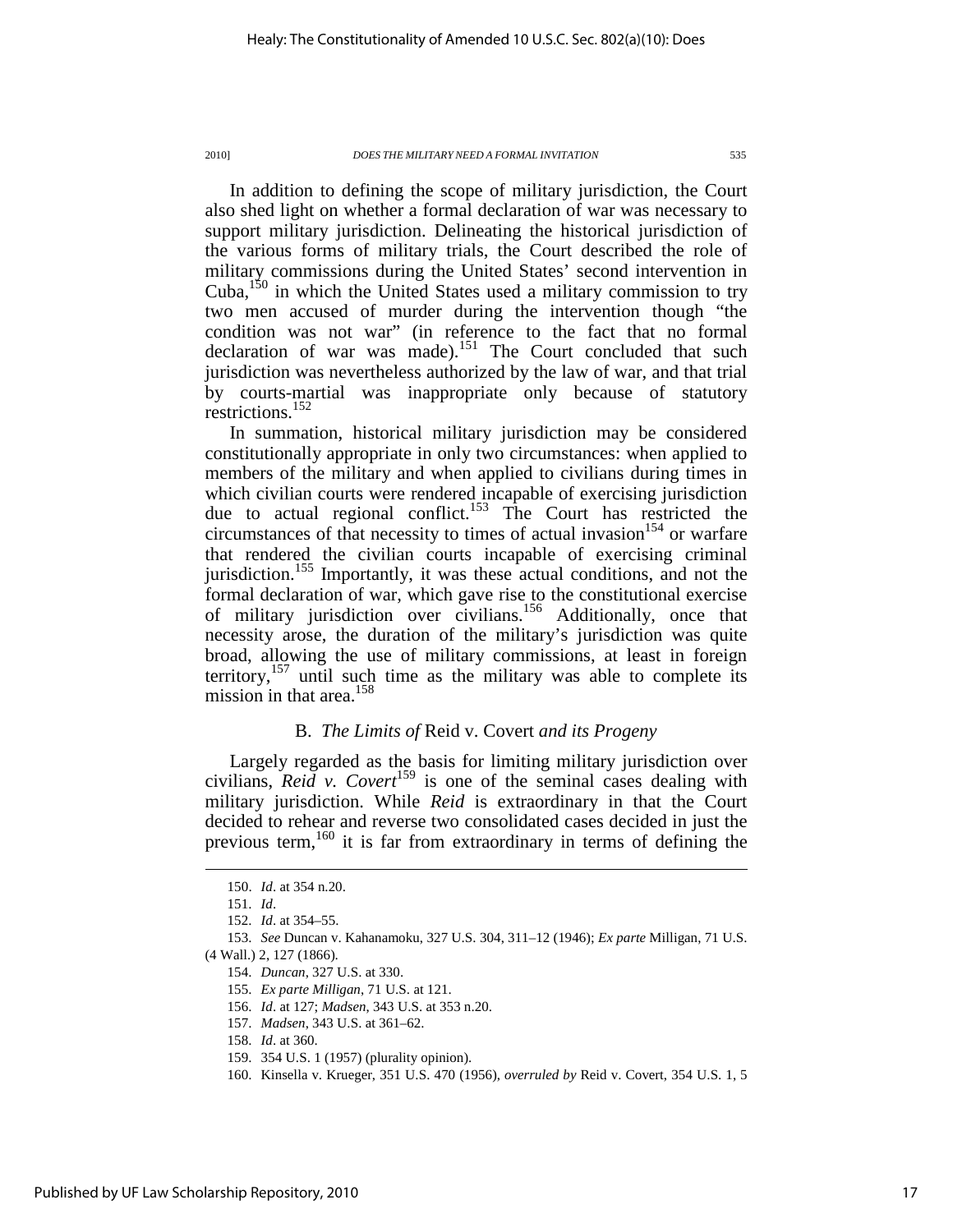In addition to defining the scope of military jurisdiction, the Court also shed light on whether a formal declaration of war was necessary to support military jurisdiction. Delineating the historical jurisdiction of the various forms of military trials, the Court described the role of military commissions during the United States' second intervention in Cuba, $150$  in which the United States used a military commission to try two men accused of murder during the intervention though "the condition was not war" (in reference to the fact that no formal declaration of war was made).<sup>151</sup> The Court concluded that such jurisdiction was nevertheless authorized by the law of war, and that trial by courts-martial was inappropriate only because of statutory restrictions.<sup>152</sup>

In summation, historical military jurisdiction may be considered constitutionally appropriate in only two circumstances: when applied to members of the military and when applied to civilians during times in which civilian courts were rendered incapable of exercising jurisdiction due to actual regional conflict.<sup>153</sup> The Court has restricted the circumstances of that necessity to times of actual invasion  $154$  or warfare that rendered the civilian courts incapable of exercising criminal jurisdiction.<sup>155</sup> Importantly, it was these actual conditions, and not the formal declaration of war, which gave rise to the constitutional exercise of military jurisdiction over civilians.<sup>156</sup> Additionally, once that necessity arose, the duration of the military's jurisdiction was quite broad, allowing the use of military commissions, at least in foreign territory,<sup>157</sup> until such time as the military was able to complete its mission in that area.<sup>158</sup>

### B. *The Limits of* Reid v. Covert *and its Progeny*

Largely regarded as the basis for limiting military jurisdiction over civilians,  $Rei\vec{d}$  v. Covert<sup>159</sup> is one of the seminal cases dealing with military jurisdiction. While *Reid* is extraordinary in that the Court decided to rehear and reverse two consolidated cases decided in just the previous term,<sup>160</sup> it is far from extraordinary in terms of defining the

 <sup>150.</sup> *Id*. at 354 n.20.

 <sup>151.</sup> *Id*.

 <sup>152.</sup> *Id*. at 354–55.

 <sup>153.</sup> *See* Duncan v. Kahanamoku, 327 U.S. 304, 311–12 (1946); *Ex parte* Milligan, 71 U.S.

<sup>(4</sup> Wall.) 2, 127 (1866).

 <sup>154.</sup> *Duncan*, 327 U.S. at 330.

 <sup>155.</sup> *Ex parte Milligan*, 71 U.S. at 121.

 <sup>156.</sup> *Id*. at 127; *Madsen*, 343 U.S. at 353 n.20.

 <sup>157.</sup> *Madsen*, 343 U.S. at 361–62.

 <sup>158.</sup> *Id*. at 360.

 <sup>159. 354</sup> U.S. 1 (1957) (plurality opinion).

 <sup>160.</sup> Kinsella v. Krueger, 351 U.S. 470 (1956), *overruled by* Reid v. Covert, 354 U.S. 1, 5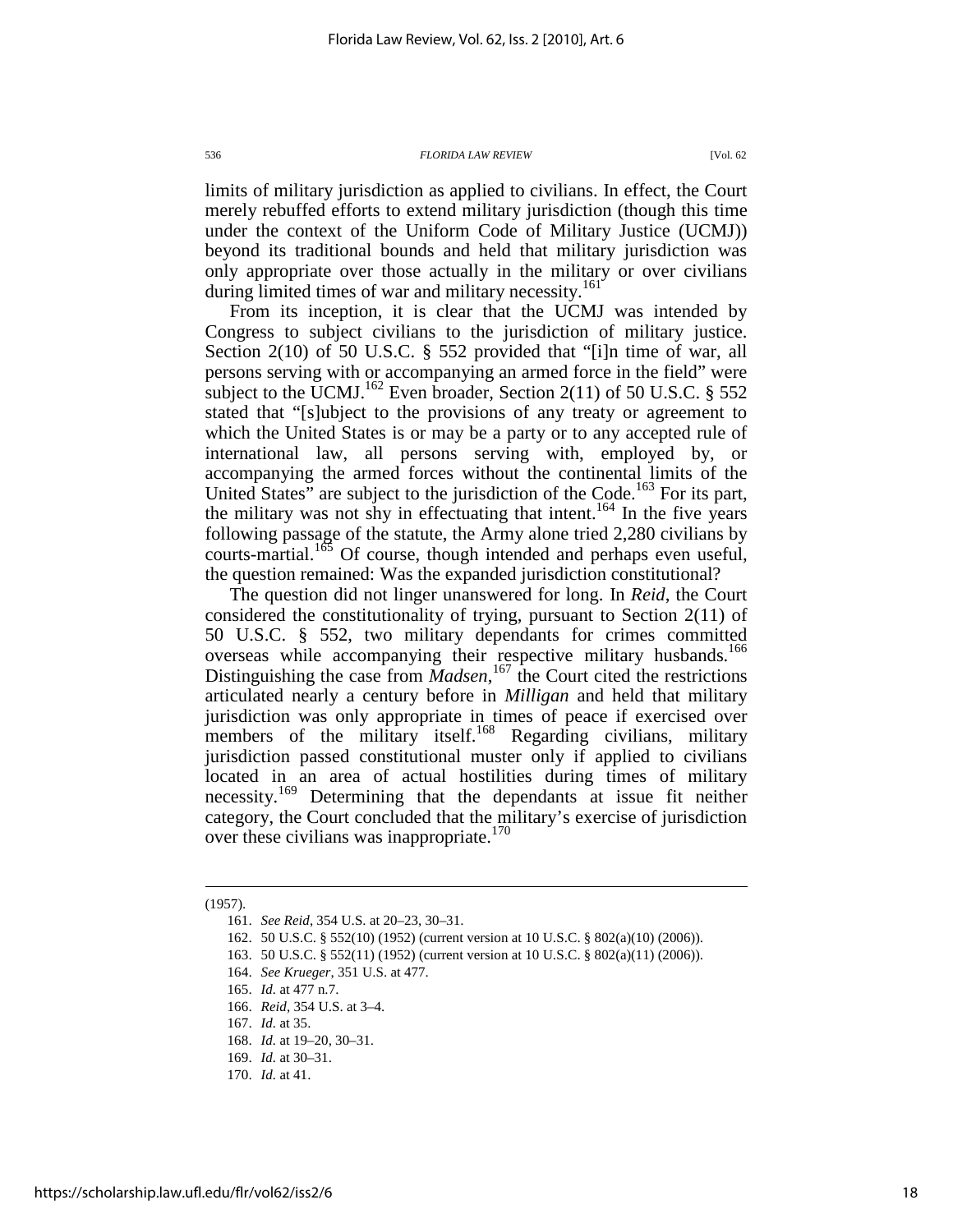limits of military jurisdiction as applied to civilians. In effect, the Court merely rebuffed efforts to extend military jurisdiction (though this time under the context of the Uniform Code of Military Justice (UCMJ)) beyond its traditional bounds and held that military jurisdiction was only appropriate over those actually in the military or over civilians during limited times of war and military necessity.<sup>161</sup>

From its inception, it is clear that the UCMJ was intended by Congress to subject civilians to the jurisdiction of military justice. Section 2(10) of 50 U.S.C. § 552 provided that "[i]n time of war, all persons serving with or accompanying an armed force in the field" were subject to the UCMJ.<sup>162</sup> Even broader, Section 2(11) of 50 U.S.C. § 552 stated that "[s]ubject to the provisions of any treaty or agreement to which the United States is or may be a party or to any accepted rule of international law, all persons serving with, employed by, or accompanying the armed forces without the continental limits of the United States" are subject to the jurisdiction of the Code.<sup>163</sup> For its part, the military was not shy in effectuating that intent.<sup>164</sup> In the five years following passage of the statute, the Army alone tried 2,280 civilians by courts-martial.<sup>165</sup> Of course, though intended and perhaps even useful, the question remained: Was the expanded jurisdiction constitutional?

The question did not linger unanswered for long. In *Reid*, the Court considered the constitutionality of trying, pursuant to Section 2(11) of 50 U.S.C. § 552, two military dependants for crimes committed overseas while accompanying their respective military husbands.<sup>166</sup> Distinguishing the case from *Madsen*,<sup>167</sup> the Court cited the restrictions articulated nearly a century before in *Milligan* and held that military jurisdiction was only appropriate in times of peace if exercised over members of the military itself.<sup>168</sup> Regarding civilians, military jurisdiction passed constitutional muster only if applied to civilians located in an area of actual hostilities during times of military necessity.<sup>169</sup> Determining that the dependants at issue fit neither category, the Court concluded that the military's exercise of jurisdiction over these civilians was inappropriate.<sup>170</sup>

<sup>(1957).</sup> 

 <sup>161.</sup> *See Reid*, 354 U.S. at 20–23, 30–31.

 <sup>162. 50</sup> U.S.C. § 552(10) (1952) (current version at 10 U.S.C. § 802(a)(10) (2006)).

 <sup>163. 50</sup> U.S.C. § 552(11) (1952) (current version at 10 U.S.C. § 802(a)(11) (2006)).

 <sup>164.</sup> *See Krueger*, 351 U.S. at 477.

 <sup>165.</sup> *Id.* at 477 n.7.

 <sup>166.</sup> *Reid*, 354 U.S. at 3–4.

 <sup>167.</sup> *Id.* at 35.

 <sup>168.</sup> *Id.* at 19–20, 30–31.

 <sup>169.</sup> *Id.* at 30–31.

 <sup>170.</sup> *Id.* at 41.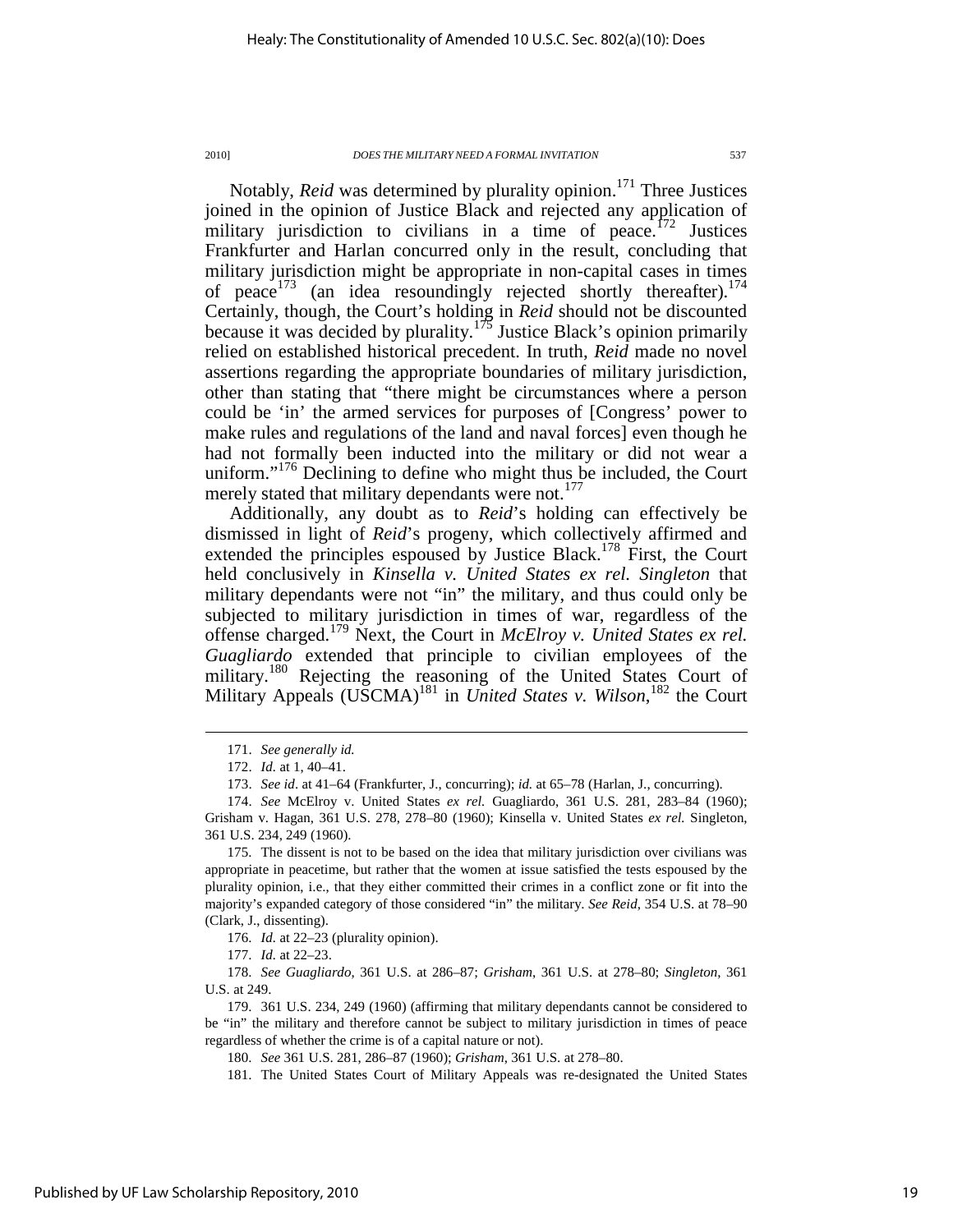Notably, *Reid* was determined by plurality opinion.<sup>171</sup> Three Justices joined in the opinion of Justice Black and rejected any application of military jurisdiction to civilians in a time of peace.<sup>172</sup> Justices Frankfurter and Harlan concurred only in the result, concluding that military jurisdiction might be appropriate in non-capital cases in times of peace  $173$  (an idea resoundingly rejected shortly thereafter).<sup>174</sup> Certainly, though, the Court's holding in *Reid* should not be discounted because it was decided by plurality.<sup>175</sup> Justice Black's opinion primarily relied on established historical precedent. In truth, *Reid* made no novel assertions regarding the appropriate boundaries of military jurisdiction, other than stating that "there might be circumstances where a person could be 'in' the armed services for purposes of [Congress' power to make rules and regulations of the land and naval forces] even though he had not formally been inducted into the military or did not wear a uniform."<sup>176</sup> Declining to define who might thus be included, the Court merely stated that military dependants were not.<sup>177</sup>

Additionally, any doubt as to *Reid*'s holding can effectively be dismissed in light of *Reid*'s progeny, which collectively affirmed and extended the principles espoused by Justice Black.<sup>178</sup> First, the Court held conclusively in *Kinsella v. United States ex rel. Singleton* that military dependants were not "in" the military, and thus could only be subjected to military jurisdiction in times of war, regardless of the offense charged.<sup>179</sup> Next, the Court in *McElroy v. United States ex rel. Guagliardo* extended that principle to civilian employees of the military.<sup>180</sup> Rejecting the reasoning of the United States Court of Military Appeals (USCMA)<sup>181</sup> in *United States v. Wilson*, <sup>182</sup> the Court

 <sup>171.</sup> *See generally id.*

 <sup>172.</sup> *Id.* at 1, 40–41.

 <sup>173.</sup> *See id*. at 41–64 (Frankfurter, J., concurring); *id.* at 65–78 (Harlan, J., concurring).

 <sup>174.</sup> *See* McElroy v. United States *ex rel.* Guagliardo, 361 U.S. 281, 283–84 (1960); Grisham v. Hagan, 361 U.S. 278, 278–80 (1960); Kinsella v. United States *ex rel.* Singleton, 361 U.S. 234, 249 (1960).

 <sup>175.</sup> The dissent is not to be based on the idea that military jurisdiction over civilians was appropriate in peacetime, but rather that the women at issue satisfied the tests espoused by the plurality opinion, i.e., that they either committed their crimes in a conflict zone or fit into the majority's expanded category of those considered "in" the military. *See Reid*, 354 U.S. at 78–90 (Clark, J., dissenting).

 <sup>176.</sup> *Id.* at 22–23 (plurality opinion).

 <sup>177.</sup> *Id.* at 22–23.

 <sup>178.</sup> *See Guagliardo*, 361 U.S. at 286–87; *Grisham*, 361 U.S. at 278–80; *Singleton*, 361 U.S. at 249.

 <sup>179. 361</sup> U.S. 234, 249 (1960) (affirming that military dependants cannot be considered to be "in" the military and therefore cannot be subject to military jurisdiction in times of peace regardless of whether the crime is of a capital nature or not).

 <sup>180.</sup> *See* 361 U.S. 281, 286–87 (1960); *Grisham*, 361 U.S. at 278–80.

 <sup>181.</sup> The United States Court of Military Appeals was re-designated the United States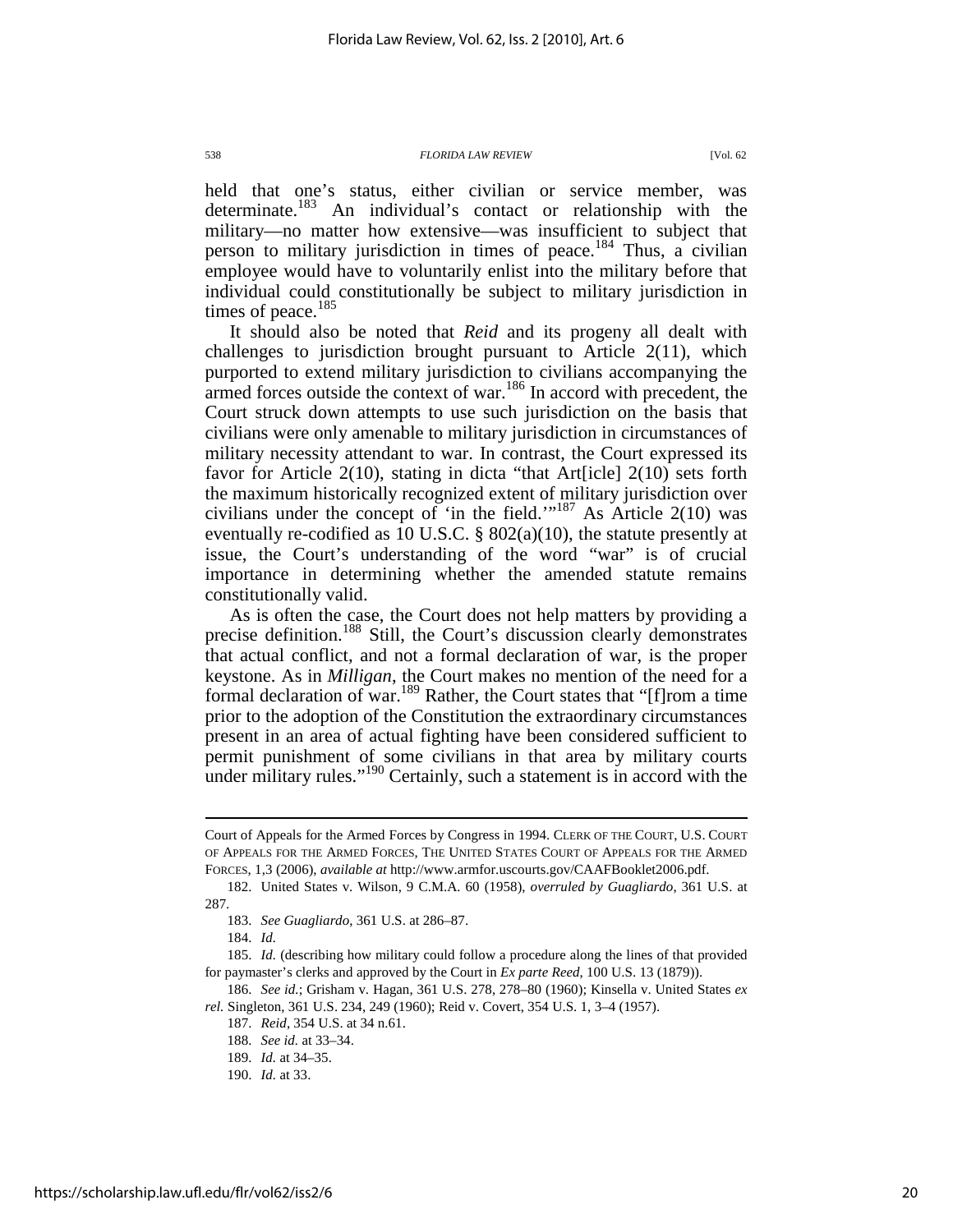held that one's status, either civilian or service member, was determinate.<sup>183</sup> An individual's contact or relationship with the military—no matter how extensive—was insufficient to subject that person to military jurisdiction in times of peace.<sup>184</sup> Thus, a civilian employee would have to voluntarily enlist into the military before that individual could constitutionally be subject to military jurisdiction in times of peace. $185$ 

It should also be noted that *Reid* and its progeny all dealt with challenges to jurisdiction brought pursuant to Article 2(11), which purported to extend military jurisdiction to civilians accompanying the armed forces outside the context of war.<sup>186</sup> In accord with precedent, the Court struck down attempts to use such jurisdiction on the basis that civilians were only amenable to military jurisdiction in circumstances of military necessity attendant to war. In contrast, the Court expressed its favor for Article 2(10), stating in dicta "that Art[icle] 2(10) sets forth the maximum historically recognized extent of military jurisdiction over civilians under the concept of 'in the field.'"<sup>187</sup> As Article 2(10) was eventually re-codified as 10 U.S.C. § 802(a)(10), the statute presently at issue, the Court's understanding of the word "war" is of crucial importance in determining whether the amended statute remains constitutionally valid.

As is often the case, the Court does not help matters by providing a precise definition.<sup>188</sup> Still, the Court's discussion clearly demonstrates that actual conflict, and not a formal declaration of war, is the proper keystone. As in *Milligan*, the Court makes no mention of the need for a formal declaration of war.<sup>189</sup> Rather, the Court states that "[f]rom a time prior to the adoption of the Constitution the extraordinary circumstances present in an area of actual fighting have been considered sufficient to permit punishment of some civilians in that area by military courts under military rules."<sup>190</sup> Certainly, such a statement is in accord with the

 $\overline{a}$ 

 186. *See id.*; Grisham v. Hagan, 361 U.S. 278, 278–80 (1960); Kinsella v. United States *ex rel.* Singleton, 361 U.S. 234, 249 (1960); Reid v. Covert, 354 U.S. 1, 3–4 (1957).

Court of Appeals for the Armed Forces by Congress in 1994. CLERK OF THE COURT, U.S. COURT OF APPEALS FOR THE ARMED FORCES, THE UNITED STATES COURT OF APPEALS FOR THE ARMED FORCES, 1,3 (2006), *available at* http://www.armfor.uscourts.gov/CAAFBooklet2006.pdf.

 <sup>182.</sup> United States v. Wilson, 9 C.M.A. 60 (1958), *overruled by Guagliardo*, 361 U.S. at 287.

 <sup>183.</sup> *See Guagliardo*, 361 U.S. at 286–87.

 <sup>184.</sup> *Id.* 

 <sup>185.</sup> *Id.* (describing how military could follow a procedure along the lines of that provided for paymaster's clerks and approved by the Court in *Ex parte Reed*, 100 U.S. 13 (1879)).

 <sup>187.</sup> *Reid*, 354 U.S. at 34 n.61.

 <sup>188.</sup> *See id.* at 33–34.

 <sup>189.</sup> *Id.* at 34–35.

 <sup>190.</sup> *Id.* at 33.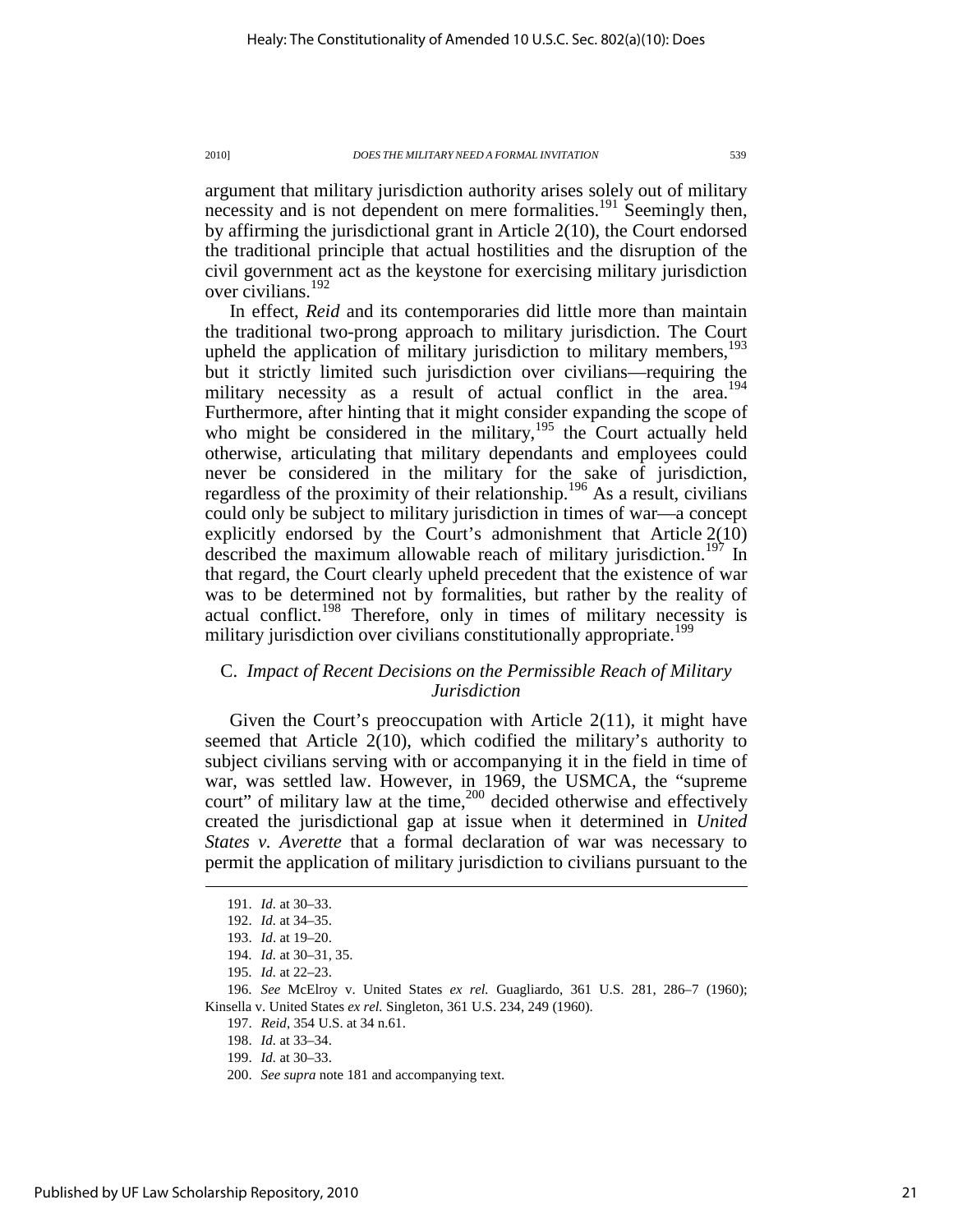argument that military jurisdiction authority arises solely out of military necessity and is not dependent on mere formalities.<sup>191</sup> Seemingly then, by affirming the jurisdictional grant in Article 2(10), the Court endorsed the traditional principle that actual hostilities and the disruption of the civil government act as the keystone for exercising military jurisdiction over civilians.<sup>192</sup>

In effect, *Reid* and its contemporaries did little more than maintain the traditional two-prong approach to military jurisdiction. The Court upheld the application of military jurisdiction to military members, $193$ but it strictly limited such jurisdiction over civilians—requiring the military necessity as a result of actual conflict in the area.<sup>194</sup> Furthermore, after hinting that it might consider expanding the scope of who might be considered in the military,<sup>195</sup> the Court actually held otherwise, articulating that military dependants and employees could never be considered in the military for the sake of jurisdiction, regardless of the proximity of their relationship.<sup>196</sup> As a result, civilians could only be subject to military jurisdiction in times of war—a concept explicitly endorsed by the Court's admonishment that Article 2(10) described the maximum allowable reach of military jurisdiction.<sup>197</sup> In that regard, the Court clearly upheld precedent that the existence of war was to be determined not by formalities, but rather by the reality of actual conflict.<sup>198</sup> Therefore, only in times of military necessity is military jurisdiction over civilians constitutionally appropriate.<sup>199</sup>

### C. *Impact of Recent Decisions on the Permissible Reach of Military Jurisdiction*

Given the Court's preoccupation with Article 2(11), it might have seemed that Article 2(10), which codified the military's authority to subject civilians serving with or accompanying it in the field in time of war, was settled law. However, in 1969, the USMCA, the "supreme court" of military law at the time, $200$  decided otherwise and effectively created the jurisdictional gap at issue when it determined in *United States v. Averette* that a formal declaration of war was necessary to permit the application of military jurisdiction to civilians pursuant to the

 <sup>191.</sup> *Id.* at 30–33.

 <sup>192.</sup> *Id.* at 34–35.

 <sup>193.</sup> *Id*. at 19–20.

 <sup>194.</sup> *Id.* at 30–31, 35.

 <sup>195.</sup> *Id.* at 22–23.

 <sup>196.</sup> *See* McElroy v. United States *ex rel.* Guagliardo, 361 U.S. 281, 286–7 (1960); Kinsella v. United States *ex rel.* Singleton, 361 U.S. 234, 249 (1960).

 <sup>197.</sup> *Reid*, 354 U.S. at 34 n.61.

 <sup>198.</sup> *Id.* at 33–34.

 <sup>199.</sup> *Id.* at 30–33.

 <sup>200.</sup> *See supra* note 181 and accompanying text.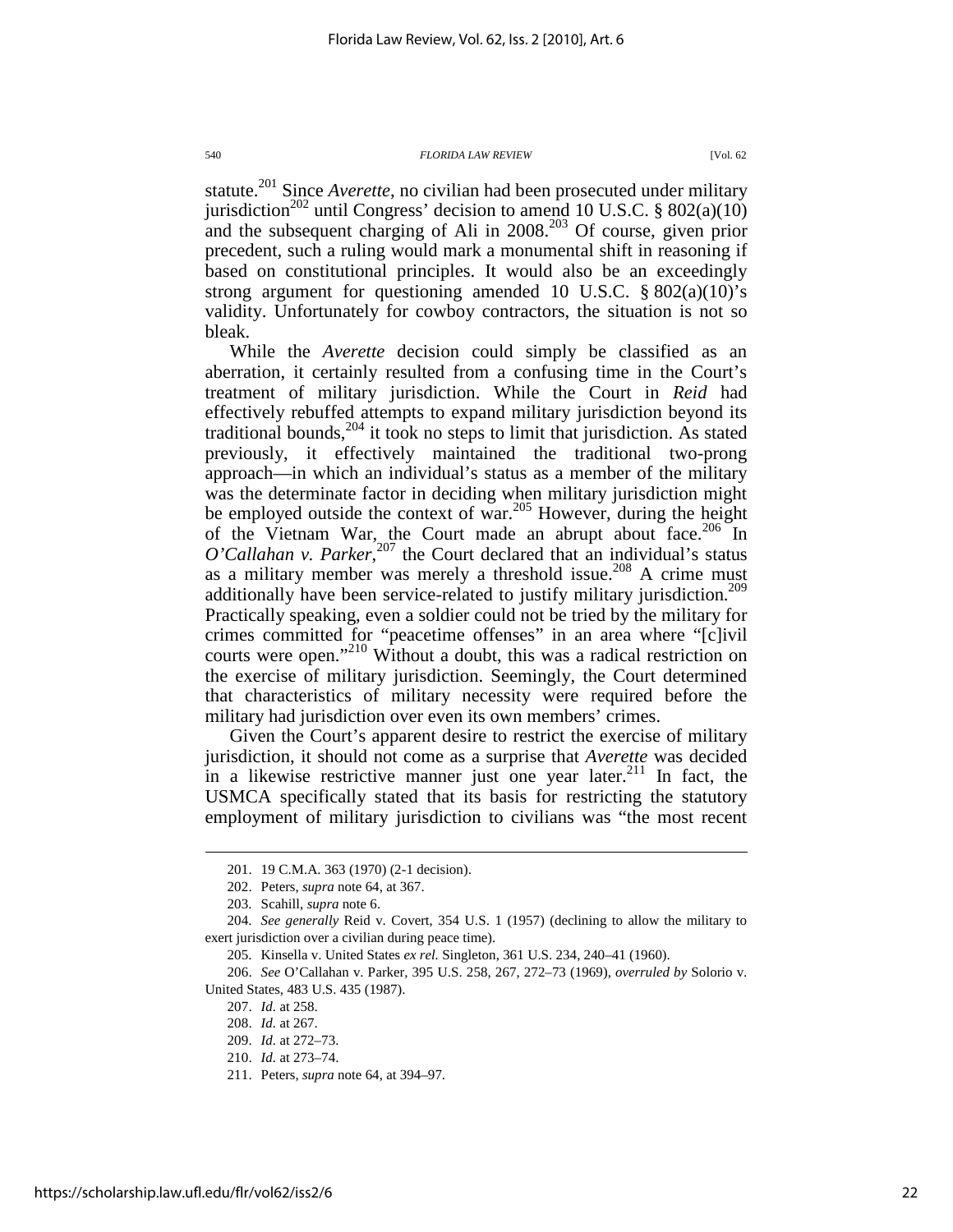statute.<sup>201</sup> Since *Averette*, no civilian had been prosecuted under military jurisdiction<sup>202</sup> until Congress' decision to amend 10 U.S.C. § 802(a)(10) and the subsequent charging of Ali in  $2008$ <sup>203</sup> Of course, given prior precedent, such a ruling would mark a monumental shift in reasoning if based on constitutional principles. It would also be an exceedingly strong argument for questioning amended 10 U.S.C.  $\S 802(a)(10)$ 's validity. Unfortunately for cowboy contractors, the situation is not so bleak.

While the *Averette* decision could simply be classified as an aberration, it certainly resulted from a confusing time in the Court's treatment of military jurisdiction. While the Court in *Reid* had effectively rebuffed attempts to expand military jurisdiction beyond its traditional bounds, $^{204}$  it took no steps to limit that jurisdiction. As stated previously, it effectively maintained the traditional two-prong approach—in which an individual's status as a member of the military was the determinate factor in deciding when military jurisdiction might be employed outside the context of war.<sup>205</sup> However, during the height of the Vietnam War, the Court made an abrupt about face.  $206$  In *O'Callahan v. Parker*, <sup>207</sup> the Court declared that an individual's status as a military member was merely a threshold issue.<sup>208</sup> A crime must additionally have been service-related to justify military jurisdiction.<sup>209</sup> Practically speaking, even a soldier could not be tried by the military for crimes committed for "peacetime offenses" in an area where "[c]ivil courts were open."<sup>210</sup> Without a doubt, this was a radical restriction on the exercise of military jurisdiction. Seemingly, the Court determined that characteristics of military necessity were required before the military had jurisdiction over even its own members' crimes.

Given the Court's apparent desire to restrict the exercise of military jurisdiction, it should not come as a surprise that *Averette* was decided in a likewise restrictive manner just one year later. $2^{11}$  In fact, the USMCA specifically stated that its basis for restricting the statutory employment of military jurisdiction to civilians was "the most recent

 <sup>201. 19</sup> C.M.A. 363 (1970) (2-1 decision).

 <sup>202.</sup> Peters, *supra* note 64, at 367.

 <sup>203.</sup> Scahill, *supra* note 6.

 <sup>204.</sup> *See generally* Reid v. Covert, 354 U.S. 1 (1957) (declining to allow the military to exert jurisdiction over a civilian during peace time).

 <sup>205.</sup> Kinsella v. United States *ex rel.* Singleton, 361 U.S. 234, 240–41 (1960).

 <sup>206.</sup> *See* O'Callahan v. Parker, 395 U.S. 258, 267, 272–73 (1969), *overruled by* Solorio v. United States, 483 U.S. 435 (1987).

 <sup>207.</sup> *Id.* at 258.

 <sup>208.</sup> *Id.* at 267.

 <sup>209.</sup> *Id.* at 272–73.

 <sup>210.</sup> *Id.* at 273–74.

 <sup>211.</sup> Peters, *supra* note 64, at 394–97.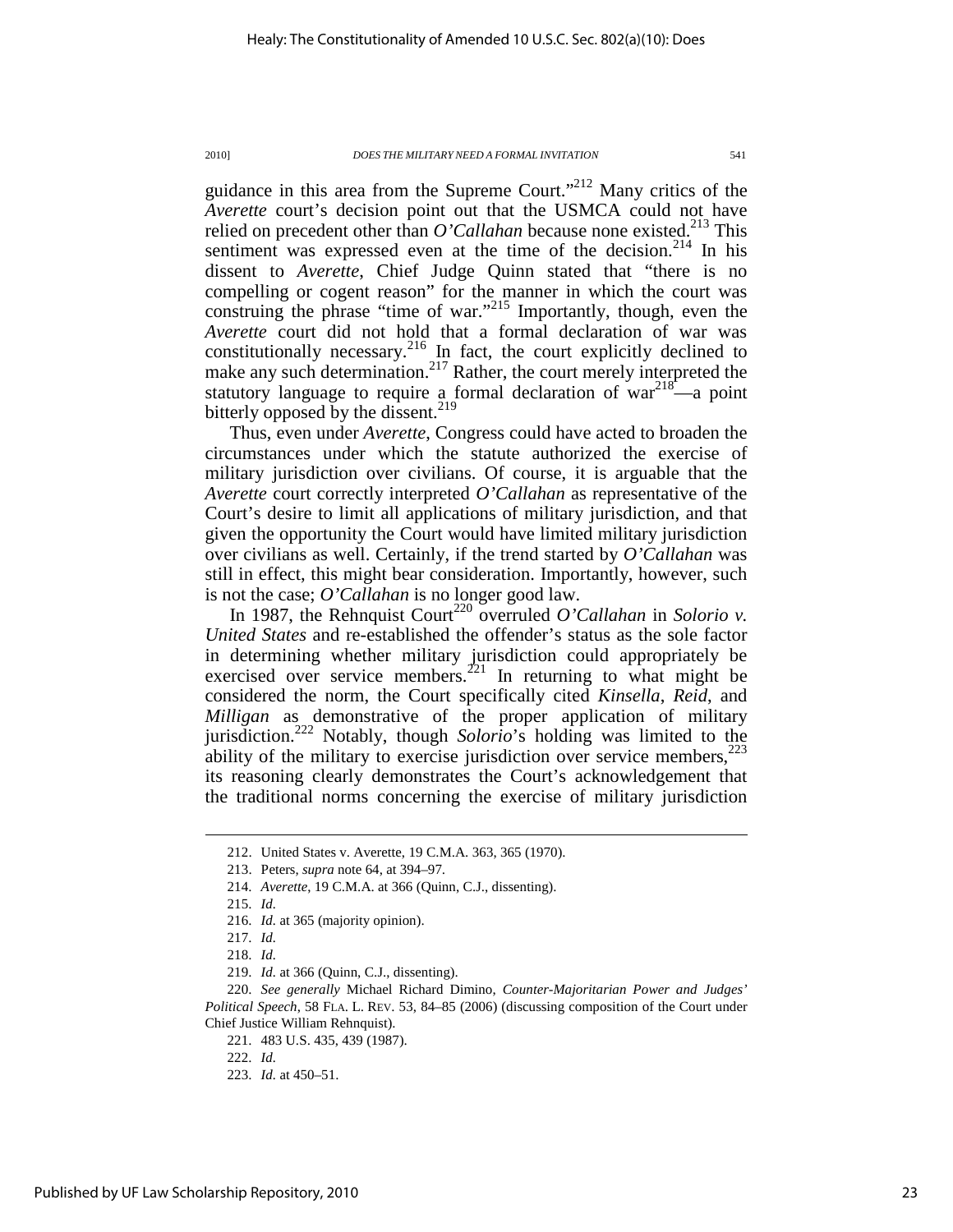guidance in this area from the Supreme Court."<sup>212</sup> Many critics of the *Averette* court's decision point out that the USMCA could not have relied on precedent other than  $O'Callahan$  because none existed.<sup>213</sup> This sentiment was expressed even at the time of the decision.<sup>214</sup> In his dissent to *Averette*, Chief Judge Quinn stated that "there is no compelling or cogent reason" for the manner in which the court was construing the phrase "time of war."<sup>215</sup> Importantly, though, even the *Averette* court did not hold that a formal declaration of war was constitutionally necessary.<sup>216</sup> In fact, the court explicitly declined to make any such determination.<sup>217</sup> Rather, the court merely interpreted the statutory language to require a formal declaration of  $var^{218}$ —a point bitterly opposed by the dissent.<sup>219</sup>

Thus, even under *Averette*, Congress could have acted to broaden the circumstances under which the statute authorized the exercise of military jurisdiction over civilians. Of course, it is arguable that the *Averette* court correctly interpreted *O'Callahan* as representative of the Court's desire to limit all applications of military jurisdiction, and that given the opportunity the Court would have limited military jurisdiction over civilians as well. Certainly, if the trend started by *O'Callahan* was still in effect, this might bear consideration. Importantly, however, such is not the case; *O'Callahan* is no longer good law.

In 1987, the Rehnquist Court<sup>220</sup> overruled *O'Callahan* in *Solorio v. United States* and re-established the offender's status as the sole factor in determining whether military jurisdiction could appropriately be exercised over service members.<sup>221</sup> In returning to what might be considered the norm, the Court specifically cited *Kinsella*, *Reid*, and *Milligan* as demonstrative of the proper application of military jurisdiction.<sup>222</sup> Notably, though *Solorio*'s holding was limited to the ability of the military to exercise jurisdiction over service members, $2^{23}$ its reasoning clearly demonstrates the Court's acknowledgement that the traditional norms concerning the exercise of military jurisdiction

 <sup>212.</sup> United States v. Averette, 19 C.M.A. 363, 365 (1970).

 <sup>213.</sup> Peters, *supra* note 64, at 394–97.

 <sup>214.</sup> *Averette*, 19 C.M.A. at 366 (Quinn, C.J., dissenting).

 <sup>215.</sup> *Id.* 

 <sup>216.</sup> *Id.* at 365 (majority opinion).

 <sup>217.</sup> *Id.*

 <sup>218.</sup> *Id.*

 <sup>219.</sup> *Id.* at 366 (Quinn, C.J., dissenting).

 <sup>220.</sup> *See generally* Michael Richard Dimino, *Counter-Majoritarian Power and Judges' Political Speech*, 58 FLA. L. REV. 53, 84–85 (2006) (discussing composition of the Court under Chief Justice William Rehnquist).

 <sup>221. 483</sup> U.S. 435, 439 (1987).

 <sup>222.</sup> *Id.* 

 <sup>223.</sup> *Id.* at 450–51.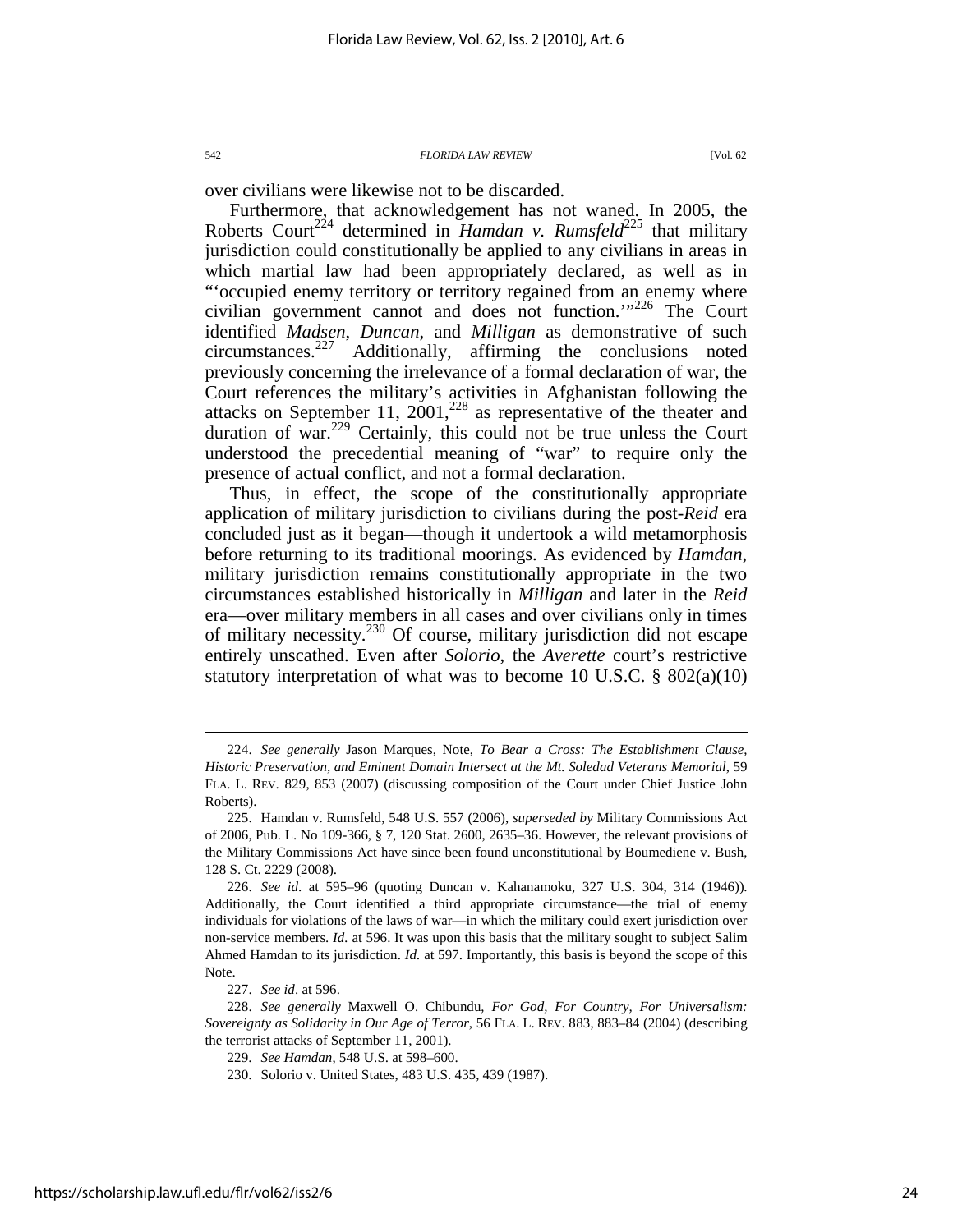over civilians were likewise not to be discarded.

Furthermore, that acknowledgement has not waned. In 2005, the Roberts Court<sup>224</sup> determined in *Hamdan v. Rumsfeld*<sup>225</sup> that military jurisdiction could constitutionally be applied to any civilians in areas in which martial law had been appropriately declared, as well as in "'occupied enemy territory or territory regained from an enemy where civilian government cannot and does not function.'"<sup>226</sup> The Court identified *Madsen*, *Duncan*, and *Milligan* as demonstrative of such circumstances.<sup>227</sup> Additionally, affirming the conclusions noted previously concerning the irrelevance of a formal declaration of war, the Court references the military's activities in Afghanistan following the attacks on September 11,  $2001$ ,  $^{228}$  as representative of the theater and duration of war. $229$  Certainly, this could not be true unless the Court understood the precedential meaning of "war" to require only the presence of actual conflict, and not a formal declaration.

Thus, in effect, the scope of the constitutionally appropriate application of military jurisdiction to civilians during the post-*Reid* era concluded just as it began—though it undertook a wild metamorphosis before returning to its traditional moorings. As evidenced by *Hamdan*, military jurisdiction remains constitutionally appropriate in the two circumstances established historically in *Milligan* and later in the *Reid*  era—over military members in all cases and over civilians only in times of military necessity.<sup>230</sup> Of course, military jurisdiction did not escape entirely unscathed. Even after *Solorio*, the *Averette* court's restrictive statutory interpretation of what was to become 10 U.S.C. § 802(a)(10)

 <sup>224.</sup> *See generally* Jason Marques, Note, *To Bear a Cross: The Establishment Clause, Historic Preservation, and Eminent Domain Intersect at the Mt. Soledad Veterans Memorial*, 59 FLA. L. REV. 829, 853 (2007) (discussing composition of the Court under Chief Justice John Roberts).

 <sup>225.</sup> Hamdan v. Rumsfeld, 548 U.S. 557 (2006), *superseded by* Military Commissions Act of 2006, Pub. L. No 109-366, § 7, 120 Stat. 2600, 2635–36. However, the relevant provisions of the Military Commissions Act have since been found unconstitutional by Boumediene v. Bush, 128 S. Ct. 2229 (2008).

 <sup>226.</sup> *See id*. at 595–96 (quoting Duncan v. Kahanamoku, 327 U.S. 304, 314 (1946)). Additionally, the Court identified a third appropriate circumstance—the trial of enemy individuals for violations of the laws of war—in which the military could exert jurisdiction over non-service members. *Id.* at 596. It was upon this basis that the military sought to subject Salim Ahmed Hamdan to its jurisdiction. *Id.* at 597. Importantly, this basis is beyond the scope of this Note.

 <sup>227.</sup> *See id*. at 596.

 <sup>228.</sup> *See generally* Maxwell O. Chibundu, *For God, For Country, For Universalism: Sovereignty as Solidarity in Our Age of Terror*, 56 FLA. L. REV. 883, 883–84 (2004) (describing the terrorist attacks of September 11, 2001).

 <sup>229.</sup> *See Hamdan*, 548 U.S. at 598–600.

 <sup>230.</sup> Solorio v. United States, 483 U.S. 435, 439 (1987).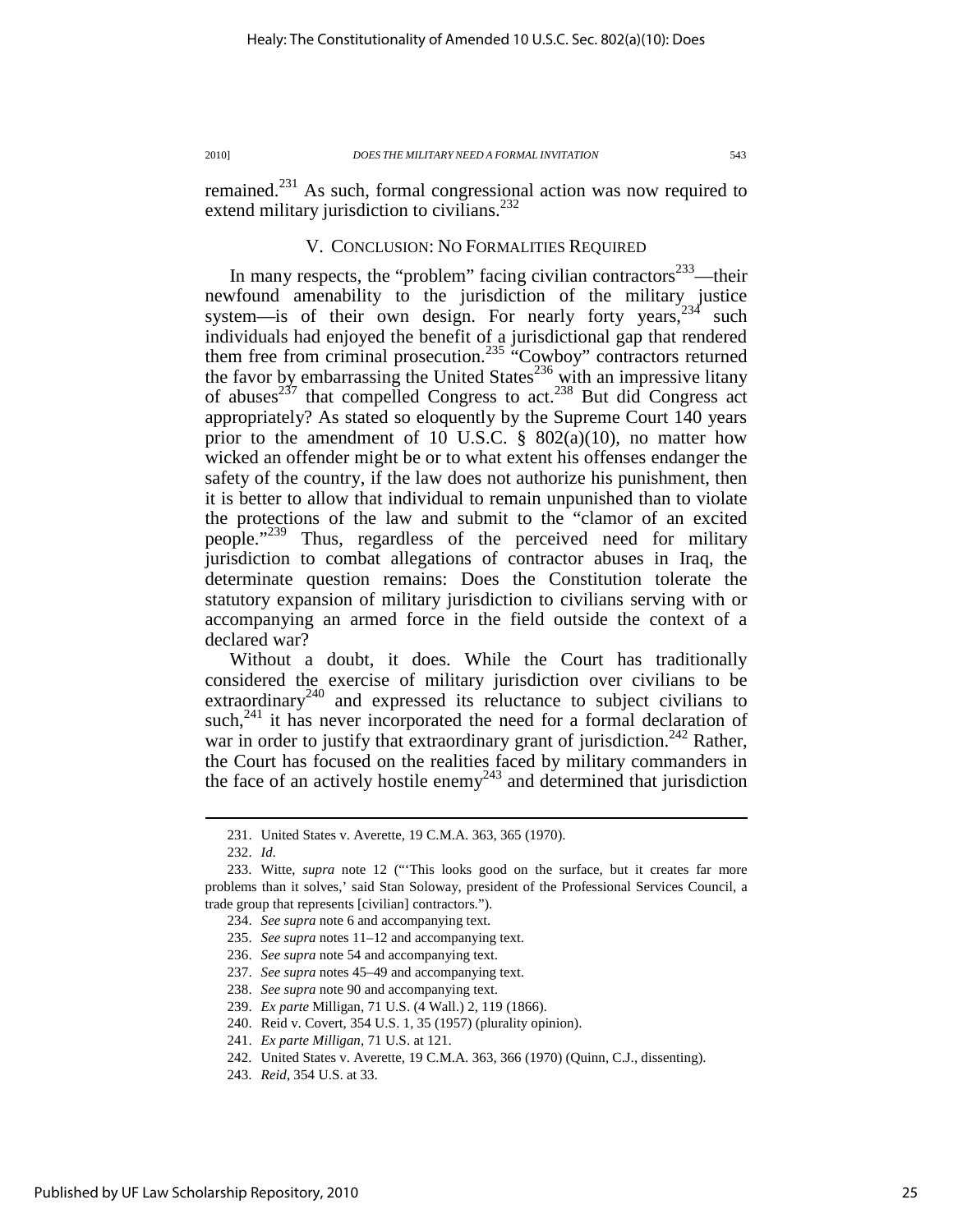remained.<sup>231</sup> As such, formal congressional action was now required to extend military jurisdiction to civilians.<sup>232</sup>

### V. CONCLUSION: NO FORMALITIES REQUIRED

In many respects, the "problem" facing civilian contractors $233$ —their newfound amenability to the jurisdiction of the military justice system—is of their own design. For nearly forty years, $234$  such individuals had enjoyed the benefit of a jurisdictional gap that rendered them free from criminal prosecution.<sup>235</sup> "Cowboy" contractors returned the favor by embarrassing the United States $^{236}$  with an impressive litany of abuses<sup>237</sup> that compelled Congress to act.<sup>238</sup> But did Congress act appropriately? As stated so eloquently by the Supreme Court 140 years prior to the amendment of 10 U.S.C.  $\S$  802(a)(10), no matter how wicked an offender might be or to what extent his offenses endanger the safety of the country, if the law does not authorize his punishment, then it is better to allow that individual to remain unpunished than to violate the protections of the law and submit to the "clamor of an excited people."<sup>239</sup> Thus, regardless of the perceived need for military jurisdiction to combat allegations of contractor abuses in Iraq, the determinate question remains: Does the Constitution tolerate the statutory expansion of military jurisdiction to civilians serving with or accompanying an armed force in the field outside the context of a declared war?

Without a doubt, it does. While the Court has traditionally considered the exercise of military jurisdiction over civilians to be extraordinary<sup>240</sup> and expressed its reluctance to subject civilians to such, $^{241}$  it has never incorporated the need for a formal declaration of war in order to justify that extraordinary grant of jurisdiction.<sup>242</sup> Rather, the Court has focused on the realities faced by military commanders in the face of an actively hostile enemy<sup>243</sup> and determined that jurisdiction

 <sup>231.</sup> United States v. Averette, 19 C.M.A. 363, 365 (1970).

 <sup>232.</sup> *Id.*

 <sup>233.</sup> Witte, *supra* note 12 ("'This looks good on the surface, but it creates far more problems than it solves,' said Stan Soloway, president of the Professional Services Council, a trade group that represents [civilian] contractors.").

 <sup>234.</sup> *See supra* note 6 and accompanying text.

 <sup>235.</sup> *See supra* notes 11–12 and accompanying text.

 <sup>236.</sup> *See supra* note 54 and accompanying text.

 <sup>237.</sup> *See supra* notes 45–49 and accompanying text.

 <sup>238.</sup> *See supra* note 90 and accompanying text.

 <sup>239.</sup> *Ex parte* Milligan, 71 U.S. (4 Wall.) 2, 119 (1866).

 <sup>240.</sup> Reid v. Covert, 354 U.S. 1, 35 (1957) (plurality opinion).

 <sup>241.</sup> *Ex parte Milligan*, 71 U.S. at 121.

 <sup>242.</sup> United States v. Averette, 19 C.M.A. 363, 366 (1970) (Quinn, C.J., dissenting).

 <sup>243.</sup> *Reid*, 354 U.S. at 33.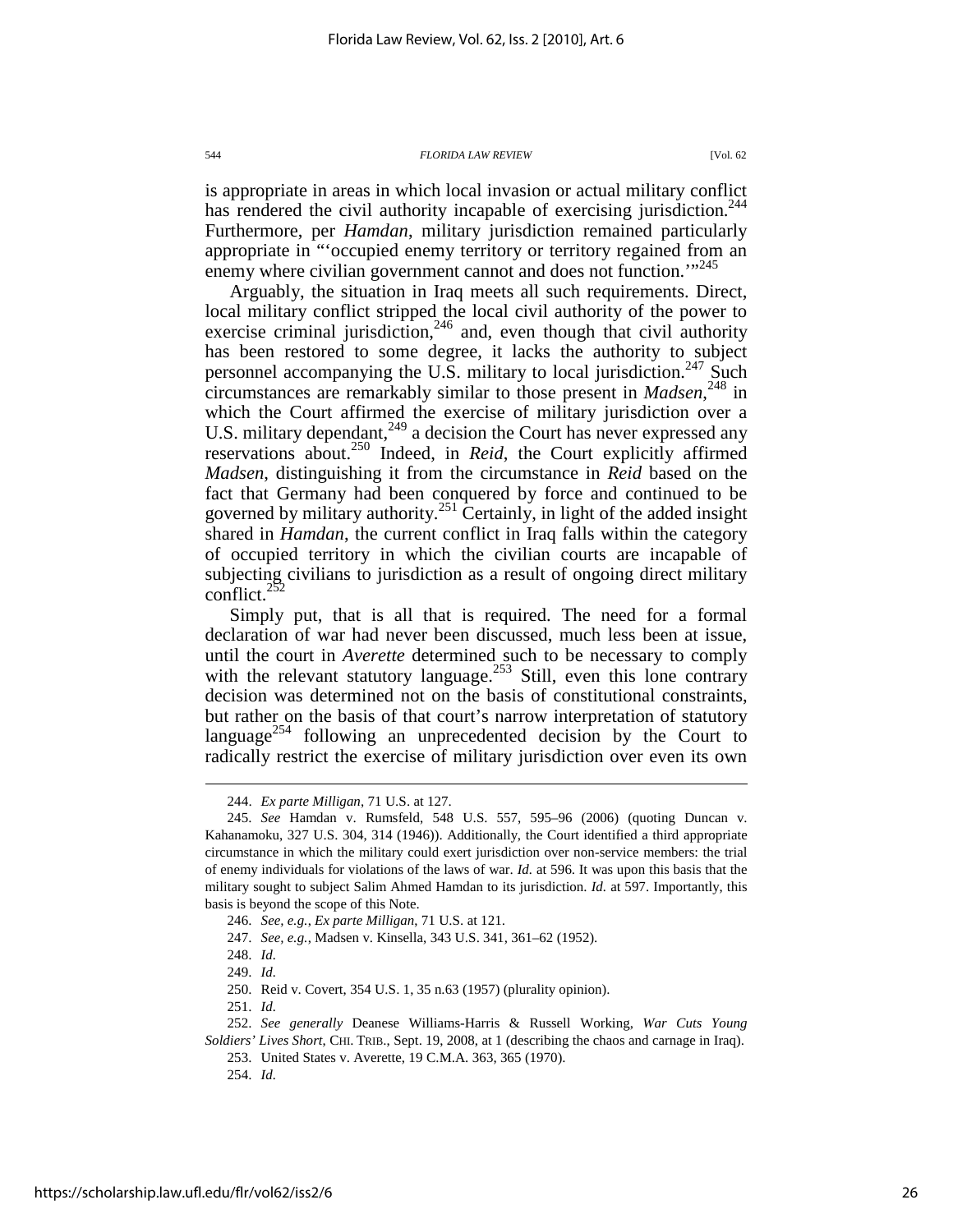is appropriate in areas in which local invasion or actual military conflict has rendered the civil authority incapable of exercising jurisdiction.<sup>244</sup> Furthermore, per *Hamdan*, military jurisdiction remained particularly appropriate in "'occupied enemy territory or territory regained from an enemy where civilian government cannot and does not function."<sup>245</sup>

Arguably, the situation in Iraq meets all such requirements. Direct, local military conflict stripped the local civil authority of the power to exercise criminal jurisdiction, $246$  and, even though that civil authority has been restored to some degree, it lacks the authority to subject personnel accompanying the U.S. military to local jurisdiction.<sup>247</sup> Such circumstances are remarkably similar to those present in *Madsen*, <sup>248</sup> in which the Court affirmed the exercise of military jurisdiction over a U.S. military dependant,  $249$  a decision the Court has never expressed any reservations about.<sup>250</sup> Indeed, in *Reid*, the Court explicitly affirmed *Madsen*, distinguishing it from the circumstance in *Reid* based on the fact that Germany had been conquered by force and continued to be governed by military authority.<sup>251</sup> Certainly, in light of the added insight shared in *Hamdan*, the current conflict in Iraq falls within the category of occupied territory in which the civilian courts are incapable of subjecting civilians to jurisdiction as a result of ongoing direct military conflict. $252$ 

Simply put, that is all that is required. The need for a formal declaration of war had never been discussed, much less been at issue, until the court in *Averette* determined such to be necessary to comply with the relevant statutory language.<sup>253</sup> Still, even this lone contrary decision was determined not on the basis of constitutional constraints, but rather on the basis of that court's narrow interpretation of statutory language<sup>254</sup> following an unprecedented decision by the Court to radically restrict the exercise of military jurisdiction over even its own

 <sup>244.</sup> *Ex parte Milligan*, 71 U.S. at 127.

 <sup>245.</sup> *See* Hamdan v. Rumsfeld, 548 U.S. 557, 595–96 (2006) (quoting Duncan v. Kahanamoku, 327 U.S. 304, 314 (1946)). Additionally, the Court identified a third appropriate circumstance in which the military could exert jurisdiction over non-service members: the trial of enemy individuals for violations of the laws of war. *Id.* at 596. It was upon this basis that the military sought to subject Salim Ahmed Hamdan to its jurisdiction. *Id.* at 597. Importantly, this basis is beyond the scope of this Note.

 <sup>246.</sup> *See, e.g.*, *Ex parte Milligan*, 71 U.S. at 121.

 <sup>247.</sup> *See, e.g.*, Madsen v. Kinsella, 343 U.S. 341, 361–62 (1952).

 <sup>248.</sup> *Id.*

 <sup>249.</sup> *Id.*

 <sup>250.</sup> Reid v. Covert, 354 U.S. 1, 35 n.63 (1957) (plurality opinion).

 <sup>251.</sup> *Id.*

 <sup>252.</sup> *See generally* Deanese Williams-Harris & Russell Working, *War Cuts Young Soldiers' Lives Short*, CHI. TRIB., Sept. 19, 2008, at 1 (describing the chaos and carnage in Iraq).

 <sup>253.</sup> United States v. Averette, 19 C.M.A. 363, 365 (1970).

 <sup>254.</sup> *Id.*